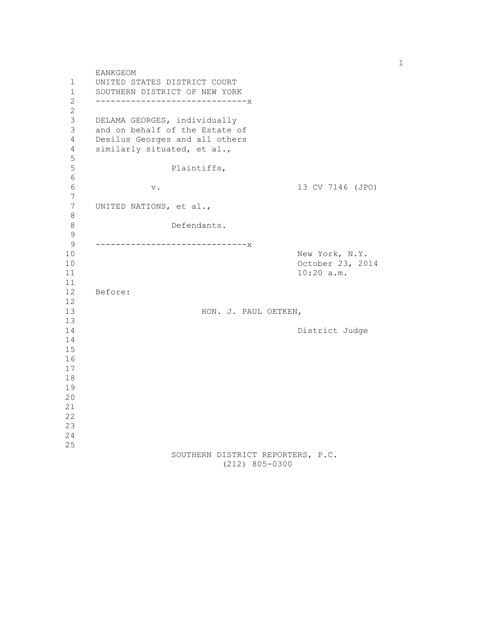EANKGEOM 1 UNITED STATES DISTRICT COURT 1 SOUTHERN DISTRICT OF NEW YORK<br>2 ----------------------------- 2 ------------------------------x 2 3 DELAMA GEORGES, individually 3 and on behalf of the Estate of 4 Desilus Georges and all others 4 similarly situated, et al., 5 Plaintiffs, 6 6 v. 13 CV 7146 (JPO) 7 7 UNITED NATIONS, et al., 8 Defendants. 9 9 ------------------------------x 10 New York, N.Y. 10 October 23, 2014 11 10:20 a.m. 11 12 Before: 12 13 HON. J. PAUL OETKEN, 13 14 District Judge 14 15 16 17 18 19 20 21 22 23 24 25 SOUTHERN DISTRICT REPORTERS, P.C. (212) 805-0300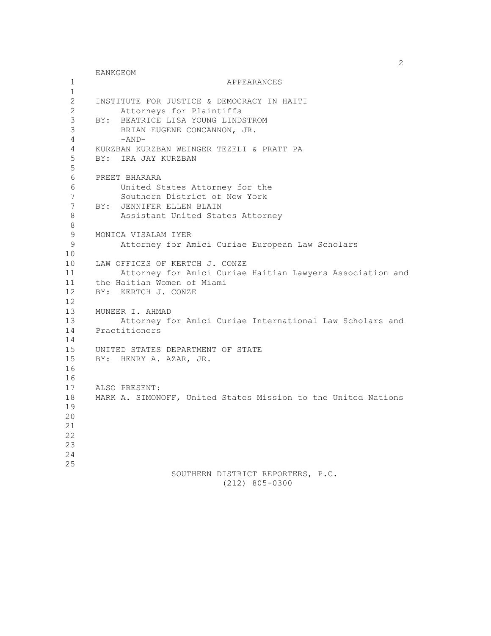2 EANKGEOM 1 APPEARANCES  $\frac{1}{2}$  2 INSTITUTE FOR JUSTICE & DEMOCRACY IN HAITI 2 Attorneys for Plaintiffs 3 BY: BEATRICE LISA YOUNG LINDSTROM 3 BRIAN EUGENE CONCANNON, JR.  $4 - AND-$  4 KURZBAN KURZBAN WEINGER TEZELI & PRATT PA 5 BY: IRA JAY KURZBAN 5 6 PREET BHARARA 6 United States Attorney for the 7 Southern District of New York 7 BY: JENNIFER ELLEN BLAIN<br>8 Assistant United Stat Assistant United States Attorney 8 9 MONICA VISALAM IYER 9 Attorney for Amici Curiae European Law Scholars 10 10 LAW OFFICES OF KERTCH J. CONZE 11 Attorney for Amici Curiae Haitian Lawyers Association and 11 the Haitian Women of Miami<br>12 BY: KERTCH J. CONZE BY: KERTCH J. CONZE 12 13 MUNEER I. AHMAD 13 Attorney for Amici Curiae International Law Scholars and 14 Practitioners 14 15 UNITED STATES DEPARTMENT OF STATE 15 BY: HENRY A. AZAR, JR. 16 16 17 ALSO PRESENT: 18 MARK A. SIMONOFF, United States Mission to the United Nations 19 20 21 22 23 24 25 SOUTHERN DISTRICT REPORTERS, P.C. (212) 805-0300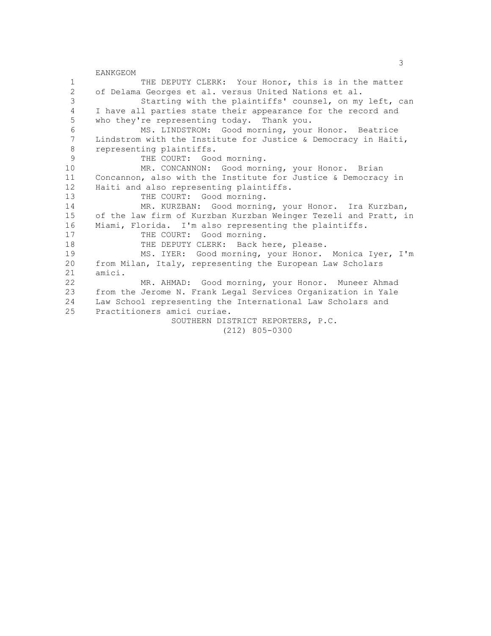<u>3</u> EANKGEOM 1 THE DEPUTY CLERK: Your Honor, this is in the matter 2 of Delama Georges et al. versus United Nations et al.<br>3 Starting with the plaintiffs' counsel, on mv Starting with the plaintiffs' counsel, on my left, can 4 I have all parties state their appearance for the record and 5 who they're representing today. Thank you. 6 MS. LINDSTROM: Good morning, your Honor. Beatrice Lindstrom with the Institute for Justice & Democracy in Haiti, 8 representing plaintiffs.<br>9 THE COURT: GOO 9 THE COURT: Good morning.<br>10 MR. CONCANNON: Good morn MR. CONCANNON: Good morning, your Honor. Brian 11 Concannon, also with the Institute for Justice & Democracy in 12 Haiti and also representing plaintiffs. 13 THE COURT: Good morning. 14 MR. KURZBAN: Good morning, your Honor. Ira Kurzban, 15 of the law firm of Kurzban Kurzban Weinger Tezeli and Pratt, in 16 Miami, Florida. I'm also representing the plaintiffs.<br>17 THE COURT: Good morning. THE COURT: Good morning. 18 THE DEPUTY CLERK: Back here, please. 19 MS. IYER: Good morning, your Honor. Monica Iyer, I'm 20 from Milan, Italy, representing the European Law Scholars 21 amici. 22 MR. AHMAD: Good morning, your Honor. Muneer Ahmad<br>23 from the Jerome N. Frank Legal Services Organization in Yale from the Jerome N. Frank Legal Services Organization in Yale 24 Law School representing the International Law Scholars and 25 Practitioners amici curiae. SOUTHERN DISTRICT REPORTERS, P.C. (212) 805-0300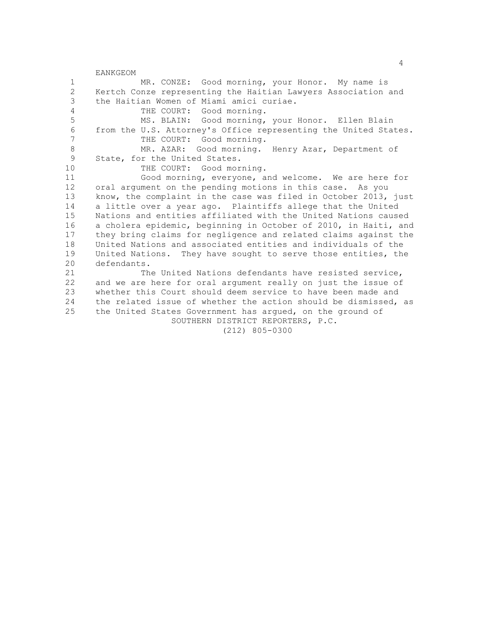4 EANKGEOM 1 MR. CONZE: Good morning, your Honor. My name is 2 Kertch Conze representing the Haitian Lawyers Association and<br>3 the Haitian Women of Miami amici curiae. the Haitian Women of Miami amici curiae. 4 THE COURT: Good morning. 5 MS. BLAIN: Good morning, your Honor. Ellen Blain 6 from the U.S. Attorney's Office representing the United States.<br>7 THE COURT: Good morning THE COURT: Good morning. 8 MR. AZAR: Good morning. Henry Azar, Department of<br>9 State, for the United States. State, for the United States. 10 THE COURT: Good morning. 11 Good morning, everyone, and welcome. We are here for 12 oral argument on the pending motions in this case. As you 13 know, the complaint in the case was filed in October 2013, just 14 a little over a year ago. Plaintiffs allege that the United 15 Nations and entities affiliated with the United Nations caused 16 a cholera epidemic, beginning in October of 2010, in Haiti, and 17 they bring claims for negligence and related claims against the 18 United Nations and associated entities and individuals of the 19 United Nations. They have sought to serve those entities, the 20 defendants. 21 The United Nations defendants have resisted service, 22 and we are here for oral argument really on just the issue of<br>23 whether this Court should deem service to have been made and whether this Court should deem service to have been made and 24 the related issue of whether the action should be dismissed, as 25 the United States Government has argued, on the ground of SOUTHERN DISTRICT REPORTERS, P.C. (212) 805-0300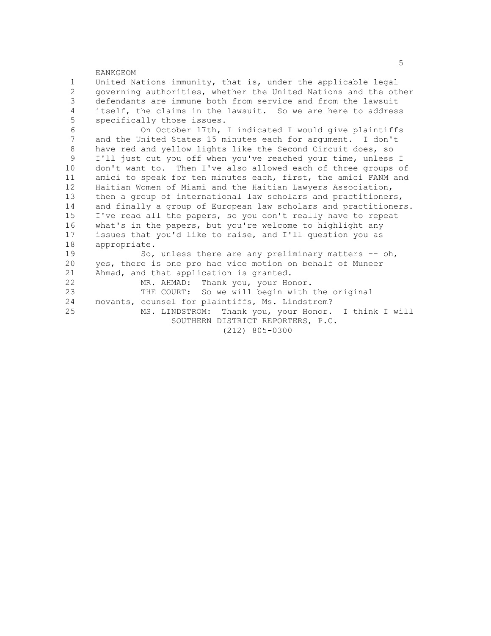EANKGEOM 1 United Nations immunity, that is, under the applicable legal 2 governing authorities, whether the United Nations and the other<br>3 defendants are immune both from service and from the lawsuit defendants are immune both from service and from the lawsuit 4 itself, the claims in the lawsuit. So we are here to address 5 specifically those issues. 6 On October 17th, I indicated I would give plaintiffs<br>7 and the United States 15 minutes each for argument I don't and the United States 15 minutes each for argument. I don't 8 have red and yellow lights like the Second Circuit does, so<br>9 I'll just cut you off when you've reached your time, unless I'll just cut you off when you've reached your time, unless I 10 don't want to. Then I've also allowed each of three groups of 11 amici to speak for ten minutes each, first, the amici FANM and 12 Haitian Women of Miami and the Haitian Lawyers Association, 13 then a group of international law scholars and practitioners, 14 and finally a group of European law scholars and practitioners. 15 I've read all the papers, so you don't really have to repeat 16 what's in the papers, but you're welcome to highlight any 17 issues that you'd like to raise, and I'll question you as 18 appropriate. 19 So, unless there are any preliminary matters -- oh, 20 yes, there is one pro hac vice motion on behalf of Muneer 21 Ahmad, and that application is granted. 22 MR. AHMAD: Thank you, your Honor.<br>23 THE COURT: So we will begin with THE COURT: So we will begin with the original 24 movants, counsel for plaintiffs, Ms. Lindstrom? 25 MS. LINDSTROM: Thank you, your Honor. I think I will SOUTHERN DISTRICT REPORTERS, P.C.

(212) 805-0300

the contract of the contract of the contract of the contract of the contract of the contract of the contract of the contract of the contract of the contract of the contract of the contract of the contract of the contract o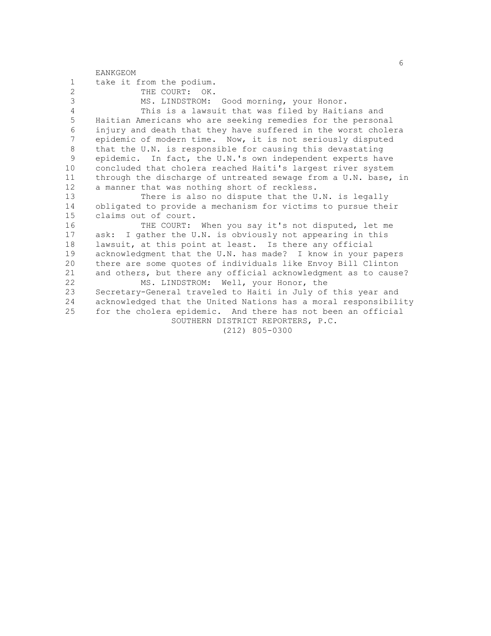|                | <b>EANKGEOM</b>                                                 |
|----------------|-----------------------------------------------------------------|
| 1              | take it from the podium.                                        |
| $\overline{c}$ | THE COURT: OK.                                                  |
| 3              | MS. LINDSTROM: Good morning, your Honor.                        |
| $\overline{4}$ | This is a lawsuit that was filed by Haitians and                |
| 5              | Haitian Americans who are seeking remedies for the personal     |
| 6              | injury and death that they have suffered in the worst cholera   |
| $\overline{7}$ | epidemic of modern time. Now, it is not seriously disputed      |
| 8              | that the U.N. is responsible for causing this devastating       |
| 9              | epidemic. In fact, the U.N.'s own independent experts have      |
| 10             | concluded that cholera reached Haiti's largest river system     |
| 11             | through the discharge of untreated sewage from a U.N. base, in  |
| 12             | a manner that was nothing short of reckless.                    |
| 13             | There is also no dispute that the U.N. is legally               |
| 14             | obligated to provide a mechanism for victims to pursue their    |
| 15             | claims out of court.                                            |
| 16             | THE COURT: When you say it's not disputed, let me               |
| 17             | ask: I gather the U.N. is obviously not appearing in this       |
| 18             | lawsuit, at this point at least. Is there any official          |
| 19             | acknowledgment that the U.N. has made? I know in your papers    |
| 20             | there are some quotes of individuals like Envoy Bill Clinton    |
| 21             | and others, but there any official acknowledgment as to cause?  |
| 22             | MS. LINDSTROM: Well, your Honor, the                            |
| 23             | Secretary-General traveled to Haiti in July of this year and    |
| 24             | acknowledged that the United Nations has a moral responsibility |
| 25             | for the cholera epidemic. And there has not been an official    |
|                | SOUTHERN DISTRICT REPORTERS, P.C.                               |
|                | $(212)$ 805-0300                                                |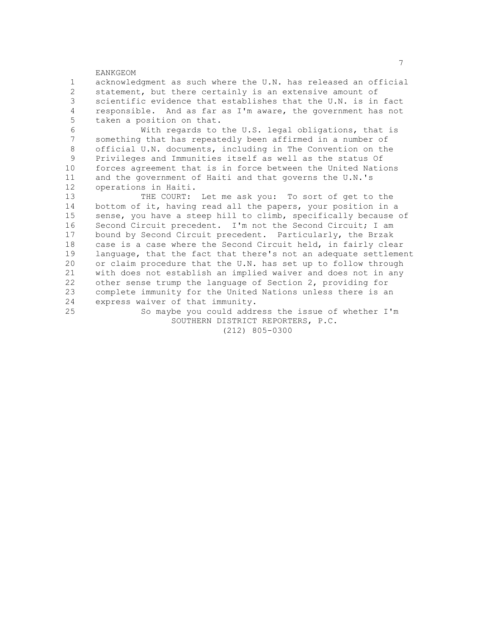EANKGEOM 1 acknowledgment as such where the U.N. has released an official 2 statement, but there certainly is an extensive amount of<br>3 scientific evidence that establishes that the U.N. is in scientific evidence that establishes that the U.N. is in fact 4 responsible. And as far as I'm aware, the government has not 5 taken a position on that. 6 With regards to the U.S. legal obligations, that is something that has repeatedly been affirmed in a number of 8 official U.N. documents, including in The Convention on the<br>9 Privileges and Immunities itself as well as the status Of 9 Privileges and Immunities itself as well as the status Of 10 forces agreement that is in force between the United Nations 11 and the government of Haiti and that governs the U.N.'s 12 operations in Haiti. 13 THE COURT: Let me ask you: To sort of get to the 14 bottom of it, having read all the papers, your position in a 15 sense, you have a steep hill to climb, specifically because of 16 Second Circuit precedent. I'm not the Second Circuit; I am<br>17 bound by Second Circuit precedent. Particularly, the Brzak bound by Second Circuit precedent. Particularly, the Brzak 18 case is a case where the Second Circuit held, in fairly clear 19 language, that the fact that there's not an adequate settlement 20 or claim procedure that the U.N. has set up to follow through 21 with does not establish an implied waiver and does not in any 22 other sense trump the language of Section 2, providing for<br>23 complete immunity for the United Nations unless there is an complete immunity for the United Nations unless there is an 24 express waiver of that immunity. 25 So maybe you could address the issue of whether I'm SOUTHERN DISTRICT REPORTERS, P.C.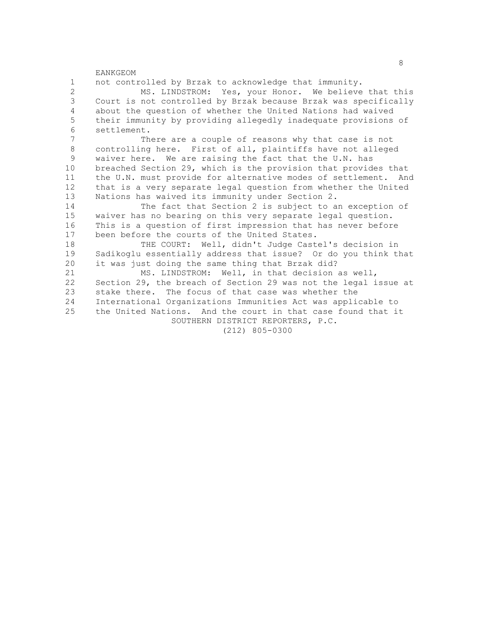1 not controlled by Brzak to acknowledge that immunity. 2 MS. LINDSTROM: Yes, your Honor. We believe that this<br>3 Court is not controlled by Brzak because Brzak was specifically Court is not controlled by Brzak because Brzak was specifically 4 about the question of whether the United Nations had waived 5 their immunity by providing allegedly inadequate provisions of 6 settlement.<br>7 Th There are a couple of reasons why that case is not 8 controlling here. First of all, plaintiffs have not alleged<br>9 waiver here. We are raising the fact that the U.N. has waiver here. We are raising the fact that the U.N. has 10 breached Section 29, which is the provision that provides that 11 the U.N. must provide for alternative modes of settlement. And 12 that is a very separate legal question from whether the United 13 Nations has waived its immunity under Section 2. 14 The fact that Section 2 is subject to an exception of 15 waiver has no bearing on this very separate legal question. 16 This is a question of first impression that has never before 17 been before the courts of the United States. 18 THE COURT: Well, didn't Judge Castel's decision in 19 Sadikoglu essentially address that issue? Or do you think that 20 it was just doing the same thing that Brzak did? 21 MS. LINDSTROM: Well, in that decision as well, 22 Section 29, the breach of Section 29 was not the legal issue at<br>23 stake there. The focus of that case was whether the stake there. The focus of that case was whether the 24 International Organizations Immunities Act was applicable to 25 the United Nations. And the court in that case found that it SOUTHERN DISTRICT REPORTERS, P.C. (212) 805-0300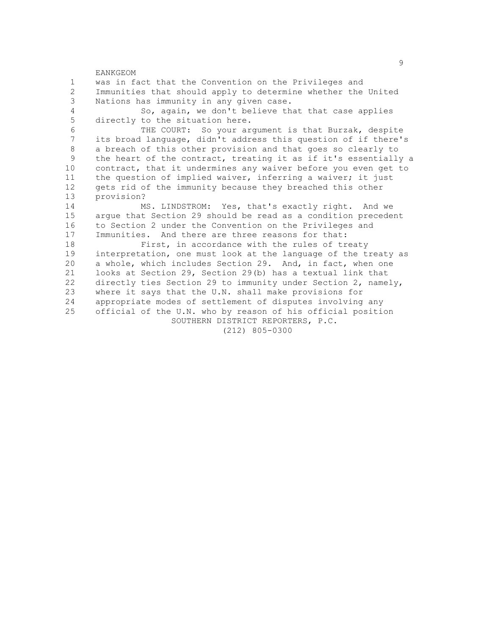EANKGEOM 1 was in fact that the Convention on the Privileges and 2 Immunities that should apply to determine whether the United<br>3 Nations has immunity in any given case. Nations has immunity in any given case. 4 So, again, we don't believe that that case applies 5 directly to the situation here. 6 THE COURT: So your argument is that Burzak, despite its broad language, didn't address this question of if there's 8 a breach of this other provision and that goes so clearly to<br>9 the heart of the contract, treating it as if it's essentially the heart of the contract, treating it as if it's essentially a 10 contract, that it undermines any waiver before you even get to 11 the question of implied waiver, inferring a waiver; it just 12 gets rid of the immunity because they breached this other 13 provision? 14 MS. LINDSTROM: Yes, that's exactly right. And we 15 argue that Section 29 should be read as a condition precedent<br>16 to Section 2 under the Convention on the Privileges and 16 to Section 2 under the Convention on the Privileges and<br>17 Immunities. And there are three reasons for that: Immunities. And there are three reasons for that: 18 First, in accordance with the rules of treaty 19 interpretation, one must look at the language of the treaty as 20 a whole, which includes Section 29. And, in fact, when one 21 looks at Section 29, Section 29(b) has a textual link that 22 directly ties Section 29 to immunity under Section 2, namely,<br>23 where it says that the U.N. shall make provisions for where it says that the U.N. shall make provisions for 24 appropriate modes of settlement of disputes involving any 25 official of the U.N. who by reason of his official position SOUTHERN DISTRICT REPORTERS, P.C. (212) 805-0300

en de la construction de la construction de la construction de la construction de la construction de la constr<br>1980 : la construction de la construction de la construction de la construction de la construction de la const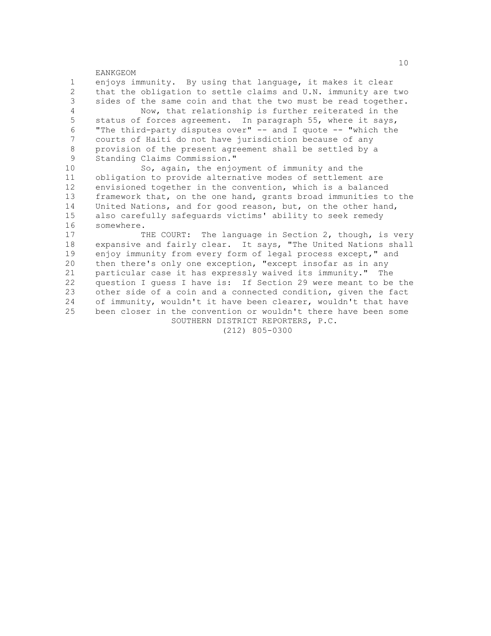EANKGEOM 1 enjoys immunity. By using that language, it makes it clear 2 that the obligation to settle claims and U.N. immunity are two<br>3 sides of the same coin and that the two must be read together. sides of the same coin and that the two must be read together. 4 Now, that relationship is further reiterated in the 5 status of forces agreement. In paragraph 55, where it says, 6 "The third-party disputes over" -- and I quote -- "which the courts of Haiti do not have jurisdiction because of any 8 provision of the present agreement shall be settled by a<br>9 Standing Claims Commission " Standing Claims Commission." 10 So, again, the enjoyment of immunity and the 11 obligation to provide alternative modes of settlement are 12 envisioned together in the convention, which is a balanced 13 framework that, on the one hand, grants broad immunities to the 14 United Nations, and for good reason, but, on the other hand, 15 also carefully safeguards victims' ability to seek remedy<br>16 somewhere. 16 somewhere.<br>17 T THE COURT: The language in Section 2, though, is very 18 expansive and fairly clear. It says, "The United Nations shall 19 enjoy immunity from every form of legal process except," and 20 then there's only one exception, "except insofar as in any 21 particular case it has expressly waived its immunity." The 22 question I guess I have is: If Section 29 were meant to be the<br>23 other side of a coin and a connected condition, given the fact other side of a coin and a connected condition, given the fact

24 of immunity, wouldn't it have been clearer, wouldn't that have 25 been closer in the convention or wouldn't there have been some

SOUTHERN DISTRICT REPORTERS, P.C.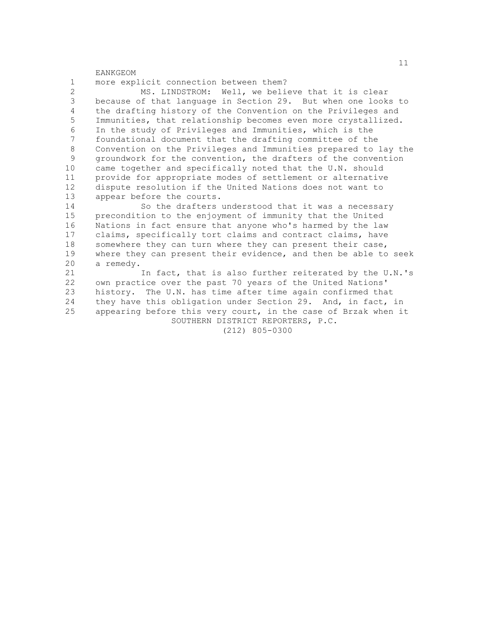EANKGEOM 1 more explicit connection between them? 2 MS. LINDSTROM: Well, we believe that it is clear<br>3 because of that language in Section 29. But when one look because of that language in Section 29. But when one looks to 4 the drafting history of the Convention on the Privileges and 5 Immunities, that relationship becomes even more crystallized. 6 In the study of Privileges and Immunities, which is the<br>7 foundational document that the drafting committee of the foundational document that the drafting committee of the 8 Convention on the Privileges and Immunities prepared to lay the<br>9 aroundwork for the convention, the drafters of the convention 9 groundwork for the convention, the drafters of the convention 10 came together and specifically noted that the U.N. should 11 provide for appropriate modes of settlement or alternative 12 dispute resolution if the United Nations does not want to 13 appear before the courts. 14 So the drafters understood that it was a necessary 15 precondition to the enjoyment of immunity that the United 16 Nations in fact ensure that anyone who's harmed by the law 17 claims, specifically tort claims and contract claims, have 18 somewhere they can turn where they can present their case, 19 where they can present their evidence, and then be able to seek 20 a remedy. 21 In fact, that is also further reiterated by the U.N.'s 22 own practice over the past 70 years of the United Nations'<br>23 history. The U.N. has time after time again confirmed tha history. The U.N. has time after time again confirmed that 24 they have this obligation under Section 29. And, in fact, in 25 appearing before this very court, in the case of Brzak when it SOUTHERN DISTRICT REPORTERS, P.C.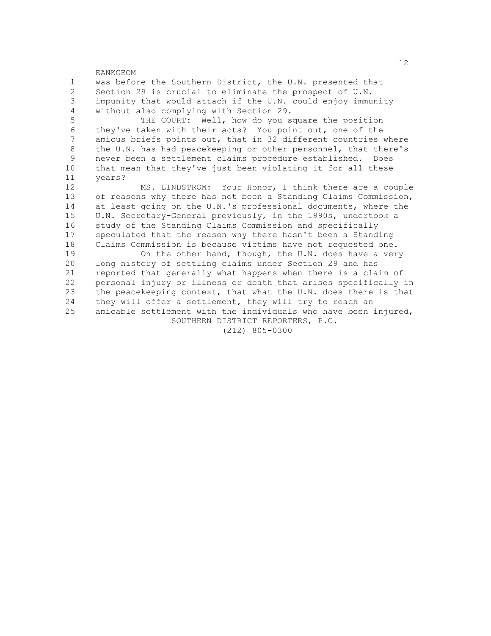EANKGEOM 1 was before the Southern District, the U.N. presented that 2 Section 29 is crucial to eliminate the prospect of U.N.<br>3 impunity that would attach if the U.N. could enjoy immu impunity that would attach if the U.N. could enjoy immunity 4 without also complying with Section 29. 5 THE COURT: Well, how do you square the position 6 they've taken with their acts? You point out, one of the amicus briefs points out, that in 32 different countries where 8 the U.N. has had peacekeeping or other personnel, that there's<br>9 never been a settlement claims procedure established. Does never been a settlement claims procedure established. Does 10 that mean that they've just been violating it for all these 11 years? 12 MS. LINDSTROM: Your Honor, I think there are a couple 13 of reasons why there has not been a Standing Claims Commission, 14 at least going on the U.N.'s professional documents, where the 15 U.N. Secretary-General previously, in the 1990s, undertook a 16 study of the Standing Claims Commission and specifically 17 speculated that the reason why there hasn't been a Standing 18 Claims Commission is because victims have not requested one. 19 On the other hand, though, the U.N. does have a very 20 long history of settling claims under Section 29 and has 21 reported that generally what happens when there is a claim of 22 personal injury or illness or death that arises specifically in<br>23 the peacekeeping context, that what the U.N. does there is that the peacekeeping context, that what the U.N. does there is that 24 they will offer a settlement, they will try to reach an 25 amicable settlement with the individuals who have been injured,

SOUTHERN DISTRICT REPORTERS, P.C.

(212) 805-0300

 $12$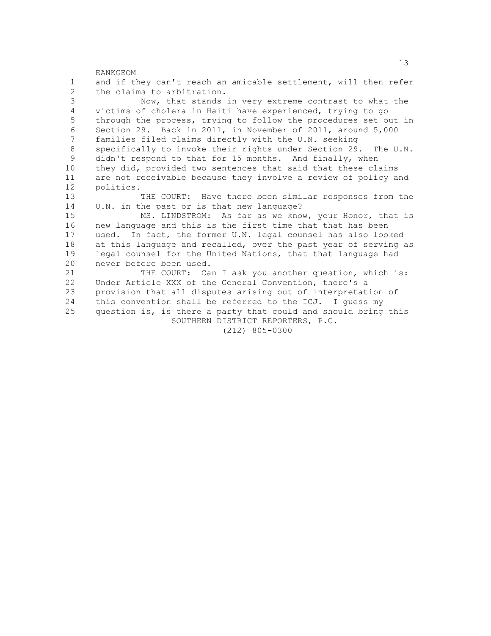EANKGEOM 1 and if they can't reach an amicable settlement, will then refer 2 the claims to arbitration.<br>3 Now, that stands Now, that stands in very extreme contrast to what the 4 victims of cholera in Haiti have experienced, trying to go 5 through the process, trying to follow the procedures set out in 6 Section 29. Back in 2011, in November of 2011, around 5,000<br>7 families filed claims directly with the U.N. seeking families filed claims directly with the U.N. seeking 8 specifically to invoke their rights under Section 29. The U.N.<br>9 didn't respond to that for 15 months. And finally, when didn't respond to that for 15 months. And finally, when 10 they did, provided two sentences that said that these claims 11 are not receivable because they involve a review of policy and 12 politics. 13 THE COURT: Have there been similar responses from the 14 U.N. in the past or is that new language? 15 MS. LINDSTROM: As far as we know, your Honor, that is 16 new language and this is the first time that that has been 17 used. In fact, the former U.N. legal counsel has also looked 18 at this language and recalled, over the past year of serving as 19 legal counsel for the United Nations, that that language had 20 never before been used. 21 THE COURT: Can I ask you another question, which is: 22 Under Article XXX of the General Convention, there's a<br>23 provision that all disputes arising out of interpretat: provision that all disputes arising out of interpretation of 24 this convention shall be referred to the ICJ. I guess my 25 question is, is there a party that could and should bring this SOUTHERN DISTRICT REPORTERS, P.C. (212) 805-0300

13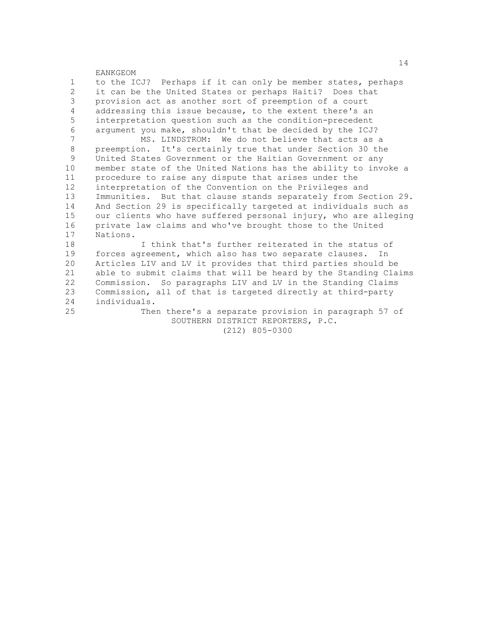EANKGEOM 1 to the ICJ? Perhaps if it can only be member states, perhaps 2 it can be the United States or perhaps Haiti? Does that<br>3 provision act as another sort of preemption of a court provision act as another sort of preemption of a court 4 addressing this issue because, to the extent there's an 5 interpretation question such as the condition-precedent 6 argument you make, shouldn't that be decided by the ICJ?<br>7 MS LINDSTROM: We do not believe that acts as a MS. LINDSTROM: We do not believe that acts as a 8 preemption. It's certainly true that under Section 30 the<br>9 United States Government or the Haitian Government or any United States Government or the Haitian Government or any 10 member state of the United Nations has the ability to invoke a 11 procedure to raise any dispute that arises under the 12 interpretation of the Convention on the Privileges and 13 Immunities. But that clause stands separately from Section 29. 14 And Section 29 is specifically targeted at individuals such as 15 our clients who have suffered personal injury, who are alleging<br>16 orivate law claims and who've brought those to the United 16 private law claims and who've brought those to the United 17 Nations. Nations. 18 I think that's further reiterated in the status of

19 forces agreement, which also has two separate clauses. In 20 Articles LIV and LV it provides that third parties should be 21 able to submit claims that will be heard by the Standing Claims 22 Commission. So paragraphs LIV and LV in the Standing Claims<br>23 Commission, all of that is targeted directly at third-party Commission, all of that is targeted directly at third-party 24 individuals.

25 Then there's a separate provision in paragraph 57 of SOUTHERN DISTRICT REPORTERS, P.C. (212) 805-0300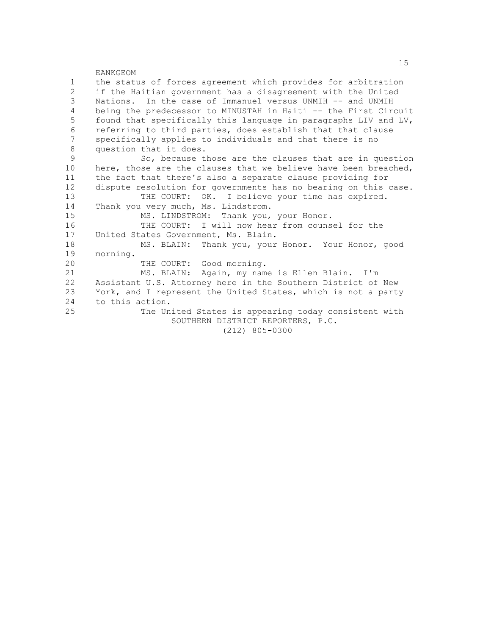| $\mathbf{1}$  | the status of forces agreement which provides for arbitration   |
|---------------|-----------------------------------------------------------------|
| 2             | if the Haitian government has a disagreement with the United    |
| 3             | Nations. In the case of Immanuel versus UNMIH -- and UNMIH      |
| 4             | being the predecessor to MINUSTAH in Haiti -- the First Circuit |
| 5             | found that specifically this language in paragraphs LIV and LV, |
| 6             | referring to third parties, does establish that that clause     |
| 7             | specifically applies to individuals and that there is no        |
| 8             | question that it does.                                          |
| $\mathcal{G}$ | So, because those are the clauses that are in question          |
| 10            | here, those are the clauses that we believe have been breached, |
| 11            | the fact that there's also a separate clause providing for      |
| 12            | dispute resolution for governments has no bearing on this case. |
| 13            | THE COURT: OK. I believe your time has expired.                 |
| 14            | Thank you very much, Ms. Lindstrom.                             |
| 15            | MS. LINDSTROM: Thank you, your Honor.                           |
| 16            | THE COURT: I will now hear from counsel for the                 |
| 17            | United States Government, Ms. Blain.                            |
| 18            | MS. BLAIN: Thank you, your Honor. Your Honor, good              |
| 19            | morning.                                                        |
| 20            | THE COURT: Good morning.                                        |
| 21            | MS. BLAIN: Again, my name is Ellen Blain. I'm                   |
| 22            | Assistant U.S. Attorney here in the Southern District of New    |
| 23            | York, and I represent the United States, which is not a party   |
| 24            | to this action.                                                 |
| 25            | The United States is appearing today consistent with            |
|               | SOUTHERN DISTRICT REPORTERS, P.C.                               |
|               | $(212)$ 805-0300                                                |
|               |                                                                 |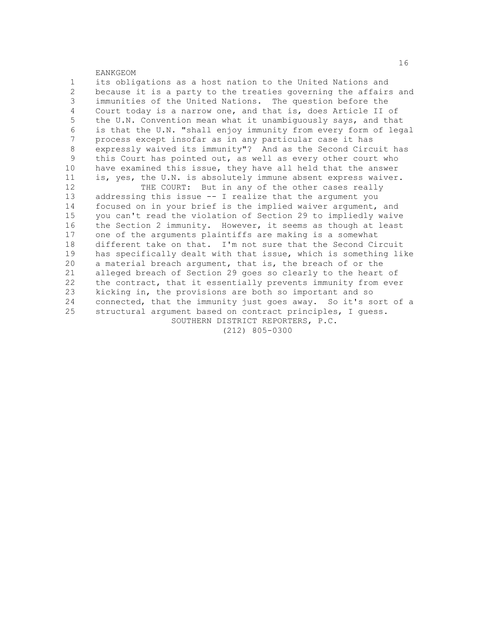EANKGEOM 1 its obligations as a host nation to the United Nations and 2 because it is a party to the treaties governing the affairs and<br>3 immunities of the United Nations. The question before the immunities of the United Nations. The question before the 4 Court today is a narrow one, and that is, does Article II of 5 the U.N. Convention mean what it unambiguously says, and that 6 is that the U.N. "shall enjoy immunity from every form of legal process except insofar as in any particular case it has 8 expressly waived its immunity"? And as the Second Circuit has<br>9 this Court has pointed out, as well as every other court who this Court has pointed out, as well as every other court who 10 have examined this issue, they have all held that the answer 11 is, yes, the U.N. is absolutely immune absent express waiver. 12 THE COURT: But in any of the other cases really 13 addressing this issue -- I realize that the argument you 14 focused on in your brief is the implied waiver argument, and 15 you can't read the violation of Section 29 to impliedly waive 16 the Section 2 immunity. However, it seems as though at least 17 one of the arguments plaintiffs are making is a somewhat 18 different take on that. I'm not sure that the Second Circuit 19 has specifically dealt with that issue, which is something like 20 a material breach argument, that is, the breach of or the 21 alleged breach of Section 29 goes so clearly to the heart of 22 the contract, that it essentially prevents immunity from ever<br>23 kicking in, the provisions are both so important and so kicking in, the provisions are both so important and so 24 connected, that the immunity just goes away. So it's sort of a 25 structural argument based on contract principles, I guess. SOUTHERN DISTRICT REPORTERS, P.C. (212) 805-0300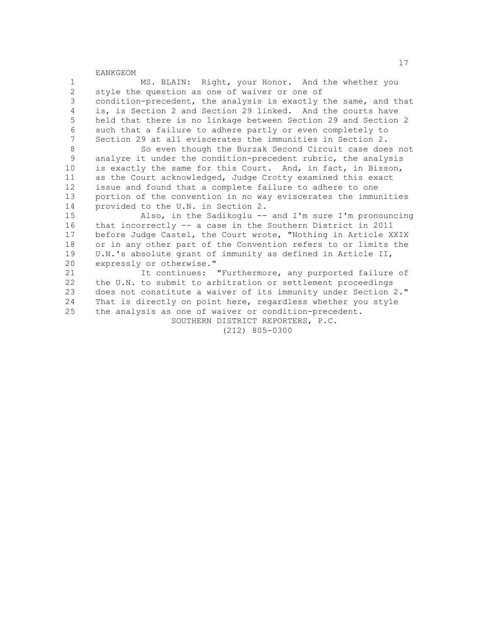1 MS. BLAIN: Right, your Honor. And the whether you 2 style the question as one of waiver or one of<br>3 condition-precedent, the analysis is exactly condition-precedent, the analysis is exactly the same, and that 4 is, is Section 2 and Section 29 linked. And the courts have 5 held that there is no linkage between Section 29 and Section 2 6 such that a failure to adhere partly or even completely to<br>7 Section 29 at all eviscerates the immunities in Section 2 Section 29 at all eviscerates the immunities in Section 2. 8 So even though the Burzak Second Circuit case does not<br>9 analyze it under the condition-precedent rubric, the analysis analyze it under the condition-precedent rubric, the analysis 10 is exactly the same for this Court. And, in fact, in Bisson, 11 as the Court acknowledged, Judge Crotty examined this exact 12 issue and found that a complete failure to adhere to one 13 portion of the convention in no way eviscerates the immunities 14 provided to the U.N. in Section 2. 15 Also, in the Sadikoglu -- and I'm sure I'm pronouncing 16 that incorrectly -- a case in the Southern District in 2011 17 before Judge Castel, the Court wrote, "Nothing in Article XXIX 18 or in any other part of the Convention refers to or limits the 19 U.N.'s absolute grant of immunity as defined in Article II, 20 expressly or otherwise." 21 It continues: "Furthermore, any purported failure of 22 the U.N. to submit to arbitration or settlement proceedings<br>23 does not constitute a waiver of its immunity under Section does not constitute a waiver of its immunity under Section 2." 24 That is directly on point here, regardless whether you style 25 the analysis as one of waiver or condition-precedent. SOUTHERN DISTRICT REPORTERS, P.C. (212) 805-0300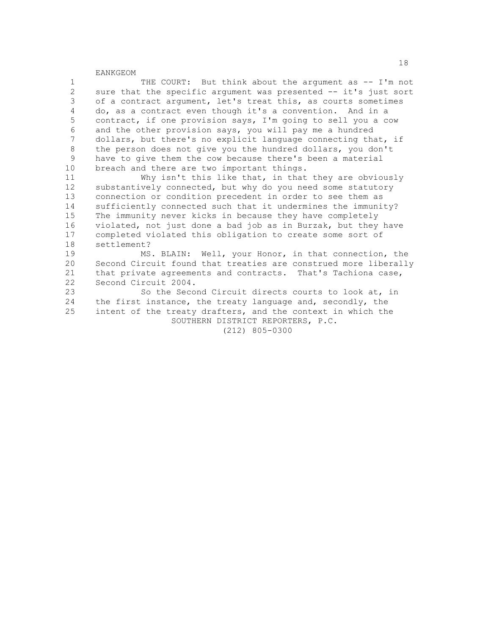1 THE COURT: But think about the argument as -- I'm not 2 sure that the specific argument was presented -- it's just sort<br>3 of a contract argument, let's treat this, as courts sometimes of a contract argument, let's treat this, as courts sometimes 4 do, as a contract even though it's a convention. And in a 5 contract, if one provision says, I'm going to sell you a cow 6 and the other provision says, you will pay me a hundred<br>7 dollars, but there's no explicit language connecting the dollars, but there's no explicit language connecting that, if 8 the person does not give you the hundred dollars, you don't<br>9 have to give them the cow because there's been a material have to give them the cow because there's been a material 10 breach and there are two important things.

11 Why isn't this like that, in that they are obviously 12 substantively connected, but why do you need some statutory 13 connection or condition precedent in order to see them as 14 sufficiently connected such that it undermines the immunity? 15 The immunity never kicks in because they have completely 16 violated, not just done a bad job as in Burzak, but they have<br>17 completed violated this obligation to create some sort of completed violated this obligation to create some sort of 18 settlement?

19 MS. BLAIN: Well, your Honor, in that connection, the 20 Second Circuit found that treaties are construed more liberally 21 that private agreements and contracts. That's Tachiona case, 22 Second Circuit 2004.<br>23 So the Seco

So the Second Circuit directs courts to look at, in 24 the first instance, the treaty language and, secondly, the 25 intent of the treaty drafters, and the context in which the SOUTHERN DISTRICT REPORTERS, P.C.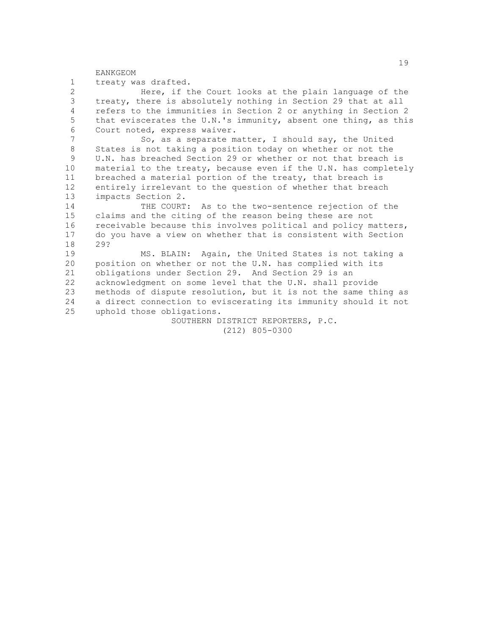EANKGEOM 1 treaty was drafted. 2 Here, if the Court looks at the plain language of the<br>3 treaty, there is absolutely nothing in Section 29 that at all treaty, there is absolutely nothing in Section 29 that at all 4 refers to the immunities in Section 2 or anything in Section 2 5 that eviscerates the U.N.'s immunity, absent one thing, as this 6 Court noted, express waiver.<br>7 So. as a separate m. So, as a separate matter, I should say, the United 8 States is not taking a position today on whether or not the<br>9 U.N. has breached Section 29 or whether or not that breach U.N. has breached Section 29 or whether or not that breach is 10 material to the treaty, because even if the U.N. has completely 11 breached a material portion of the treaty, that breach is 12 entirely irrelevant to the question of whether that breach 13 impacts Section 2. 14 THE COURT: As to the two-sentence rejection of the 15 claims and the citing of the reason being these are not 16 receivable because this involves political and policy matters, 17 do you have a view on whether that is consistent with Section 18 29? 19 MS. BLAIN: Again, the United States is not taking a 20 position on whether or not the U.N. has complied with its 21 obligations under Section 29. And Section 29 is an 22 acknowledgment on some level that the U.N. shall provide<br>23 methods of dispute resolution, but it is not the same th: methods of dispute resolution, but it is not the same thing as 24 a direct connection to eviscerating its immunity should it not 25 uphold those obligations.

> SOUTHERN DISTRICT REPORTERS, P.C. (212) 805-0300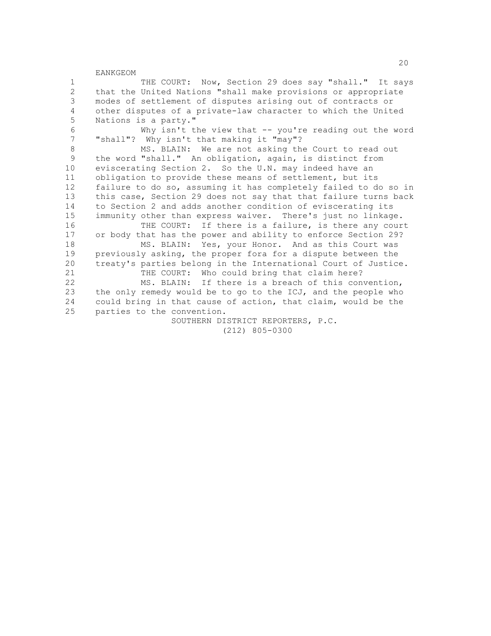1 THE COURT: Now, Section 29 does say "shall." It says 2 that the United Nations "shall make provisions or appropriate<br>3 modes of settlement of disputes arising out of contracts or modes of settlement of disputes arising out of contracts or 4 other disputes of a private-law character to which the United 5 Nations is a party." 6 Why isn't the view that  $-$  you're reading out the word<br>7 "shall"? Why isn't that making it "may"? "shall"? Why isn't that making it "may"? 8 MS. BLAIN: We are not asking the Court to read out<br>9 the word "shall " An obligation, again, is distinct from the word "shall." An obligation, again, is distinct from 10 eviscerating Section 2. So the U.N. may indeed have an 11 obligation to provide these means of settlement, but its 12 failure to do so, assuming it has completely failed to do so in 13 this case, Section 29 does not say that that failure turns back 14 to Section 2 and adds another condition of eviscerating its 15 immunity other than express waiver. There's just no linkage.<br>16 THE COURT: If there is a failure, is there any cour 16 THE COURT: If there is a failure, is there any court<br>17 or body that has the power and ability to enforce Section 29? or body that has the power and ability to enforce Section 29? 18 MS. BLAIN: Yes, your Honor. And as this Court was 19 previously asking, the proper fora for a dispute between the 20 treaty's parties belong in the International Court of Justice. 21 THE COURT: Who could bring that claim here? 22 MS. BLAIN: If there is a breach of this convention,<br>23 the only remedy would be to go to the ICJ, and the people who the only remedy would be to go to the ICJ, and the people who 24 could bring in that cause of action, that claim, would be the 25 parties to the convention. SOUTHERN DISTRICT REPORTERS, P.C. (212) 805-0300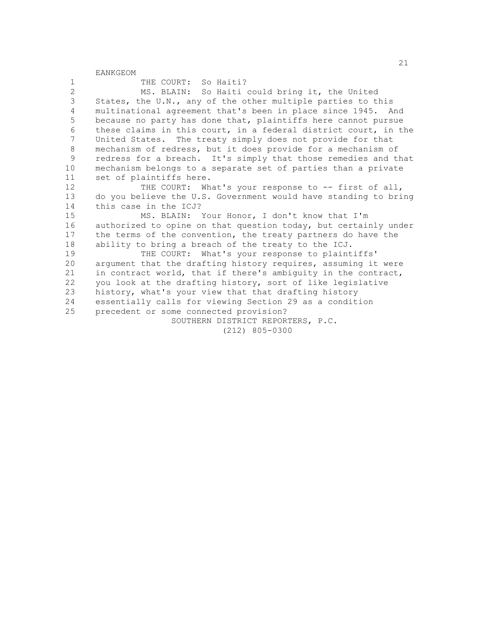| $\mathbf 1$       | THE COURT: So Haiti?                                            |
|-------------------|-----------------------------------------------------------------|
| 2                 | MS. BLAIN: So Haiti could bring it, the United                  |
| 3                 | States, the U.N., any of the other multiple parties to this     |
| 4                 | multinational agreement that's been in place since 1945. And    |
| 5                 | because no party has done that, plaintiffs here cannot pursue   |
| 6                 | these claims in this court, in a federal district court, in the |
| 7                 | United States. The treaty simply does not provide for that      |
| $8\,$             | mechanism of redress, but it does provide for a mechanism of    |
| 9                 | redress for a breach. It's simply that those remedies and that  |
| 10                | mechanism belongs to a separate set of parties than a private   |
| 11                | set of plaintiffs here.                                         |
| $12 \overline{ }$ | THE COURT: What's your response to -- first of all,             |
| 13                | do you believe the U.S. Government would have standing to bring |
| 14                | this case in the ICJ?                                           |
| 15                | MS. BLAIN: Your Honor, I don't know that I'm                    |
| 16                | authorized to opine on that question today, but certainly under |
| 17                | the terms of the convention, the treaty partners do have the    |
| 18                | ability to bring a breach of the treaty to the ICJ.             |
| 19                | THE COURT: What's your response to plaintiffs'                  |
| 20                | argument that the drafting history requires, assuming it were   |
| 21                | in contract world, that if there's ambiguity in the contract,   |
| 22                | you look at the drafting history, sort of like legislative      |
| 23                | history, what's your view that that drafting history            |
| 24                | essentially calls for viewing Section 29 as a condition         |
| 25                | precedent or some connected provision?                          |
|                   | SOUTHERN DISTRICT REPORTERS, P.C.                               |
|                   | $(212)$ 805-0300                                                |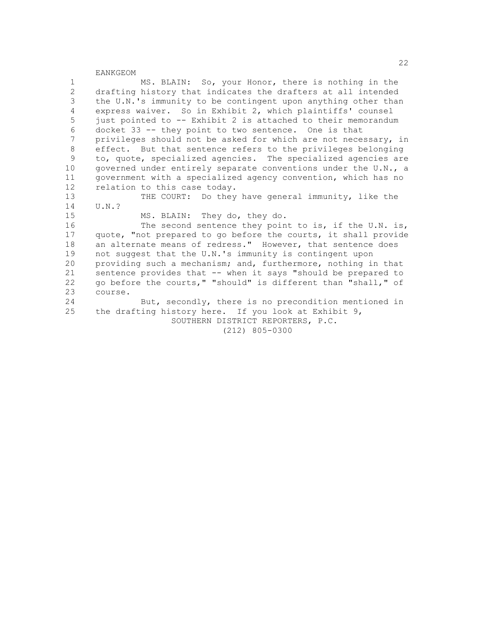1 MS. BLAIN: So, your Honor, there is nothing in the 2 drafting history that indicates the drafters at all intended<br>3 the U.N.'s immunity to be contingent upon anything other than the U.N.'s immunity to be contingent upon anything other than 4 express waiver. So in Exhibit 2, which plaintiffs' counsel 5 just pointed to -- Exhibit 2 is attached to their memorandum 6 docket 33 -- they point to two sentence. One is that privileges should not be asked for which are not necessary, in 8 effect. But that sentence refers to the privileges belonging<br>9 to, quote, specialized agencies. The specialized agencies are 9 to, quote, specialized agencies. The specialized agencies are 10 governed under entirely separate conventions under the U.N., a 11 government with a specialized agency convention, which has no 12 relation to this case today. 13 THE COURT: Do they have general immunity, like the 14 U.N.? 15 MS. BLAIN: They do, they do.<br>16 The second sentence they poin The second sentence they point to is, if the U.N. is, 17 quote, "not prepared to go before the courts, it shall provide 18 an alternate means of redress." However, that sentence does 19 not suggest that the U.N.'s immunity is contingent upon 20 providing such a mechanism; and, furthermore, nothing in that 21 sentence provides that -- when it says "should be prepared to 22 go before the courts," "should" is different than "shall," of  $23$  course. course. 24 But, secondly, there is no precondition mentioned in 25 the drafting history here. If you look at Exhibit 9, SOUTHERN DISTRICT REPORTERS, P.C. (212) 805-0300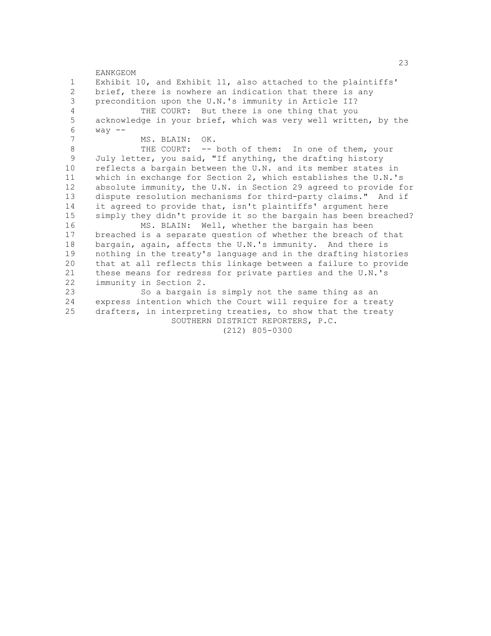EANKGEOM 1 Exhibit 10, and Exhibit 11, also attached to the plaintiffs' 2 brief, there is nowhere an indication that there is any<br>3 precondition upon the U.N.'s immunity in Article II? precondition upon the U.N.'s immunity in Article II? 4 THE COURT: But there is one thing that you 5 acknowledge in your brief, which was very well written, by the 6 way -- MS. BLAIN: OK. 8 THE COURT: -- both of them: In one of them, your<br>9 July letter, you said, "If anything, the drafting history July letter, you said, "If anything, the drafting history 10 reflects a bargain between the U.N. and its member states in 11 which in exchange for Section 2, which establishes the U.N.'s 12 absolute immunity, the U.N. in Section 29 agreed to provide for 13 dispute resolution mechanisms for third-party claims." And if 14 it agreed to provide that, isn't plaintiffs' argument here 15 simply they didn't provide it so the bargain has been breached?<br>16 MS. BLAIN: Well, whether the bargain has been 16 MS. BLAIN: Well, whether the bargain has been<br>17 breached is a separate question of whether the breach of breached is a separate question of whether the breach of that 18 bargain, again, affects the U.N.'s immunity. And there is 19 nothing in the treaty's language and in the drafting histories 20 that at all reflects this linkage between a failure to provide 21 these means for redress for private parties and the U.N.'s 22 immunity in Section 2.<br>23 So a bargain So a bargain is simply not the same thing as an 24 express intention which the Court will require for a treaty 25 drafters, in interpreting treaties, to show that the treaty SOUTHERN DISTRICT REPORTERS, P.C. (212) 805-0300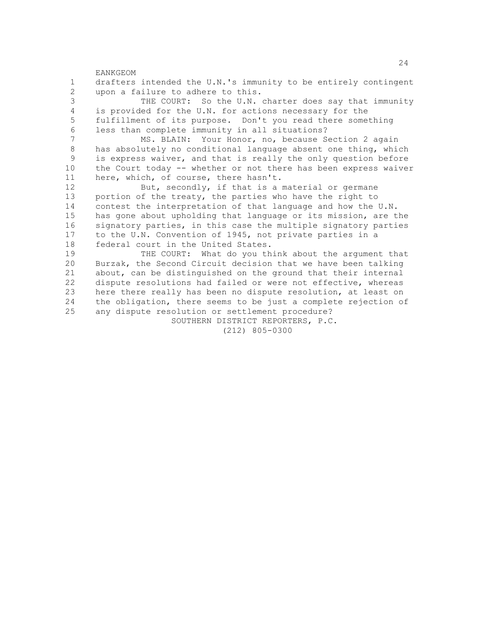EANKGEOM 1 drafters intended the U.N.'s immunity to be entirely contingent 2 upon a failure to adhere to this.<br>3 THE COURT: So the U.N. THE COURT: So the U.N. charter does say that immunity 4 is provided for the U.N. for actions necessary for the 5 fulfillment of its purpose. Don't you read there something 6 less than complete immunity in all situations? MS. BLAIN: Your Honor, no, because Section 2 again 8 has absolutely no conditional language absent one thing, which<br>9 is express waiver, and that is really the only question before is express waiver, and that is really the only question before 10 the Court today -- whether or not there has been express waiver 11 here, which, of course, there hasn't. 12 But, secondly, if that is a material or germane 13 portion of the treaty, the parties who have the right to 14 contest the interpretation of that language and how the U.N. 15 has gone about upholding that language or its mission, are the 16 signatory parties, in this case the multiple signatory parties 17 to the U.N. Convention of 1945, not private parties in a 18 federal court in the United States. 19 THE COURT: What do you think about the argument that 20 Burzak, the Second Circuit decision that we have been talking 21 about, can be distinguished on the ground that their internal 22 dispute resolutions had failed or were not effective, whereas<br>23 here there really has been no dispute resolution, at least on here there really has been no dispute resolution, at least on 24 the obligation, there seems to be just a complete rejection of 25 any dispute resolution or settlement procedure? SOUTHERN DISTRICT REPORTERS, P.C.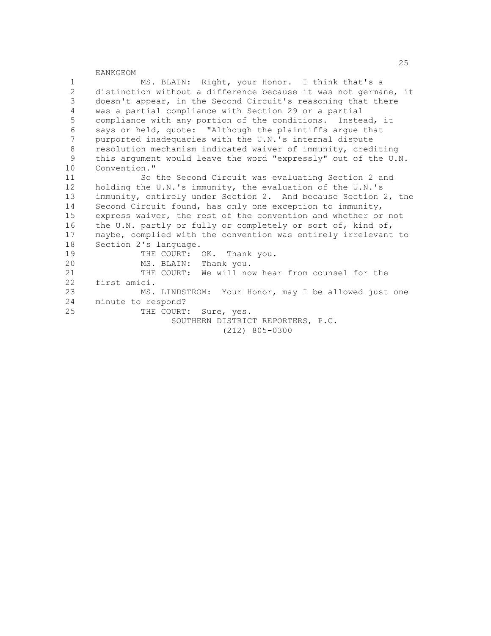1 MS. BLAIN: Right, your Honor. I think that's a 2 distinction without a difference because it was not germane, it<br>3 doesn't appear, in the Second Circuit's reasoning that there doesn't appear, in the Second Circuit's reasoning that there 4 was a partial compliance with Section 29 or a partial 5 compliance with any portion of the conditions. Instead, it 6 says or held, quote: "Although the plaintiffs argue that<br>7 nurported inadequacies with the U.N.'s internal dispute purported inadequacies with the U.N.'s internal dispute 8 resolution mechanism indicated waiver of immunity, crediting<br>9 this argument would leave the word "expressly" out of the U.I this argument would leave the word "expressly" out of the U.N. 10 Convention." 11 So the Second Circuit was evaluating Section 2 and 12 holding the U.N.'s immunity, the evaluation of the U.N.'s

13 immunity, entirely under Section 2. And because Section 2, the 14 Second Circuit found, has only one exception to immunity, 15 express waiver, the rest of the convention and whether or not 16 the U.N. partly or fully or completely or sort of, kind of, 17 maybe, complied with the convention was entirely irrelevant to 18 Section 2's language. 19 THE COURT: OK. Thank you. 20 MS. BLAIN: Thank you. 21 THE COURT: We will now hear from counsel for the 22 first amici.<br>23 MS. MS. LINDSTROM: Your Honor, may I be allowed just one 24 minute to respond? 25 THE COURT: Sure, yes.

 SOUTHERN DISTRICT REPORTERS, P.C. (212) 805-0300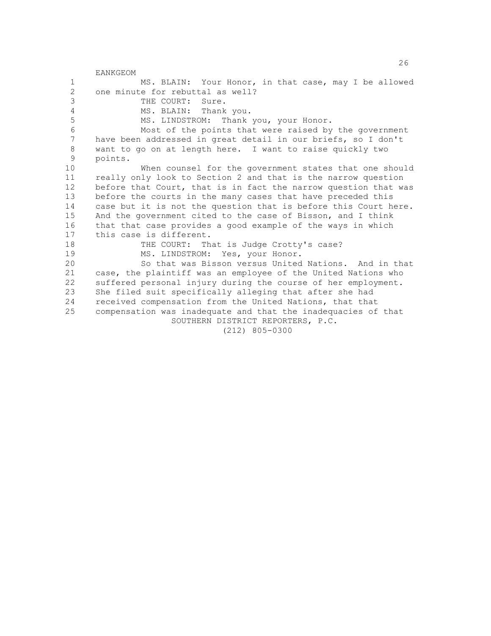EANKGEOM 1 MS. BLAIN: Your Honor, in that case, may I be allowed 2 one minute for rebuttal as well?<br>3 THE COURT: Sure. THE COURT: Sure. 4 MS. BLAIN: Thank you. 5 MS. LINDSTROM: Thank you, your Honor. 6 Most of the points that were raised by the government<br>7 have been addressed in great detail in our briefs, so I don't have been addressed in great detail in our briefs, so I don't 8 want to go on at length here. I want to raise quickly two points. 10 When counsel for the government states that one should 11 really only look to Section 2 and that is the narrow question 12 before that Court, that is in fact the narrow question that was 13 before the courts in the many cases that have preceded this 14 case but it is not the question that is before this Court here. 15 And the government cited to the case of Bisson, and I think 16 that that case provides a good example of the ways in which<br>17 this case is different. this case is different. 18 THE COURT: That is Judge Crotty's case? 19 MS. LINDSTROM: Yes, your Honor. 20 So that was Bisson versus United Nations. And in that 21 case, the plaintiff was an employee of the United Nations who 22 suffered personal injury during the course of her employment.<br>23 She filed suit specifically alleging that after she had She filed suit specifically alleging that after she had 24 received compensation from the United Nations, that that 25 compensation was inadequate and that the inadequacies of that SOUTHERN DISTRICT REPORTERS, P.C. (212) 805-0300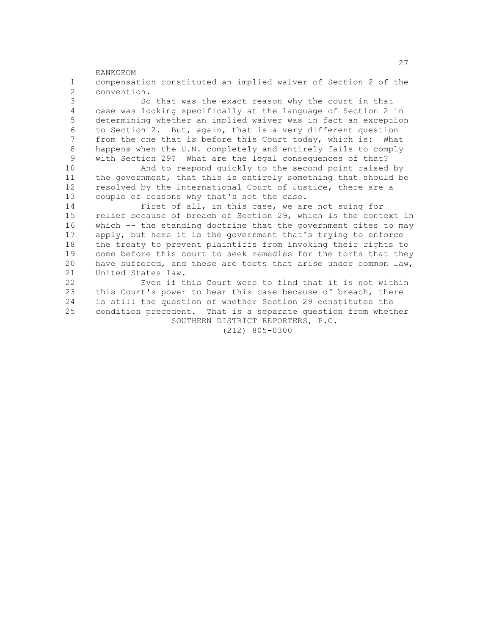<u>27</u> EANKGEOM 1 compensation constituted an implied waiver of Section 2 of the 2 convention. So that was the exact reason why the court in that 4 case was looking specifically at the language of Section 2 in 5 determining whether an implied waiver was in fact an exception 6 to Section 2. But, again, that is a very different question<br>7 from the one that is before this Court today, which is: What from the one that is before this Court today, which is: What 8 happens when the U.N. completely and entirely fails to comply<br>9 with Section 29? What are the legal consequences of that? with Section 29? What are the legal consequences of that? 10 And to respond quickly to the second point raised by 11 the government, that this is entirely something that should be 12 resolved by the International Court of Justice, there are a 13 couple of reasons why that's not the case. 14 First of all, in this case, we are not suing for 15 relief because of breach of Section 29, which is the context in 16 which -- the standing doctrine that the government cites to may 17 apply, but here it is the government that's trying to enforce 18 the treaty to prevent plaintiffs from invoking their rights to 19 come before this court to seek remedies for the torts that they 20 have suffered, and these are torts that arise under common law, 21 United States law. 22 Even if this Court were to find that it is not within<br>23 this Court's power to hear this case because of breach, there this Court's power to hear this case because of breach, there 24 is still the question of whether Section 29 constitutes the 25 condition precedent. That is a separate question from whether SOUTHERN DISTRICT REPORTERS, P.C. (212) 805-0300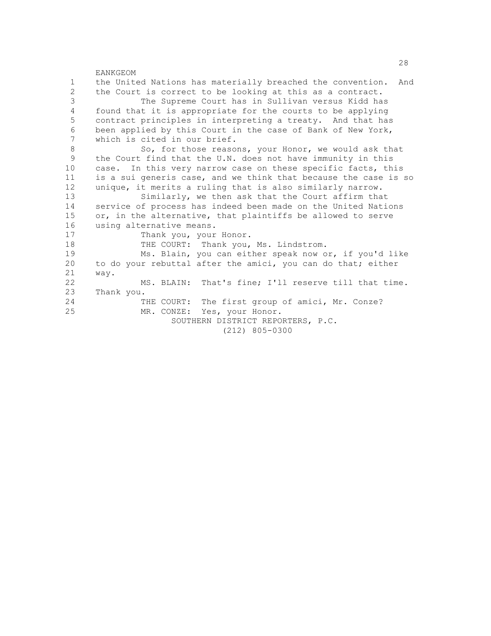|              | 28                                                                |
|--------------|-------------------------------------------------------------------|
|              | EANKGEOM                                                          |
| $\mathbf{1}$ | the United Nations has materially breached the convention.<br>And |
| $\mathbf{2}$ | the Court is correct to be looking at this as a contract.         |
| 3            | The Supreme Court has in Sullivan versus Kidd has                 |
| 4            | found that it is appropriate for the courts to be applying        |
| 5            | contract principles in interpreting a treaty. And that has        |
| 6            | been applied by this Court in the case of Bank of New York,       |
| 7            | which is cited in our brief.                                      |
| 8            | So, for those reasons, your Honor, we would ask that              |
| 9            | the Court find that the U.N. does not have immunity in this       |
| 10           | case. In this very narrow case on these specific facts, this      |
| 11           | is a sui generis case, and we think that because the case is so   |
| 12           | unique, it merits a ruling that is also similarly narrow.         |
| 13           | Similarly, we then ask that the Court affirm that                 |
| 14           | service of process has indeed been made on the United Nations     |
| 15           | or, in the alternative, that plaintiffs be allowed to serve       |
| 16           | using alternative means.                                          |
| 17           | Thank you, your Honor.                                            |
| 18           | THE COURT: Thank you, Ms. Lindstrom.                              |
| 19           | Ms. Blain, you can either speak now or, if you'd like             |
| 20           | to do your rebuttal after the amici, you can do that; either      |
| 21           | way.                                                              |
| 22           | MS. BLAIN: That's fine; I'll reserve till that time.              |
| 23           | Thank you.                                                        |
| 24           | THE COURT: The first group of amici, Mr. Conze?                   |
| 25           | MR. CONZE: Yes, your Honor.                                       |
|              | SOUTHERN DISTRICT REPORTERS, P.C.                                 |
|              | $(212)$ 805-0300                                                  |
|              |                                                                   |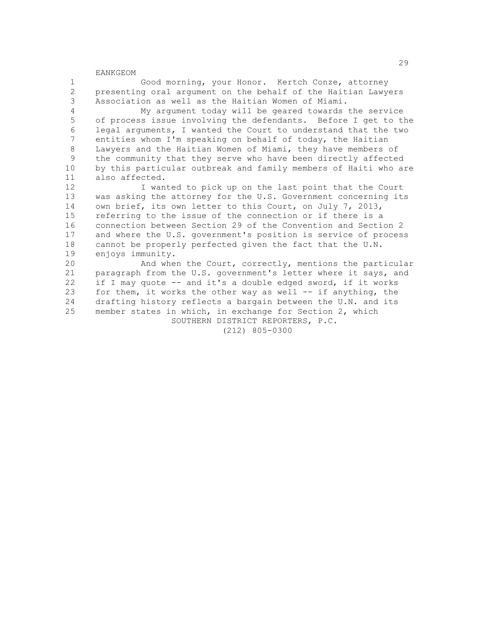1 Good morning, your Honor. Kertch Conze, attorney 2 presenting oral argument on the behalf of the Haitian Lawyers Association as well as the Haitian Women of Miami.

 4 My argument today will be geared towards the service 5 of process issue involving the defendants. Before I get to the 6 legal arguments, I wanted the Court to understand that the two<br>7 entities whom I'm speaking on behalf of today, the Haitian entities whom I'm speaking on behalf of today, the Haitian 8 Lawyers and the Haitian Women of Miami, they have members of<br>9 the community that they serve who have been directly affected the community that they serve who have been directly affected 10 by this particular outbreak and family members of Haiti who are 11 also affected.

12 I wanted to pick up on the last point that the Court 13 was asking the attorney for the U.S. Government concerning its 14 own brief, its own letter to this Court, on July 7, 2013, 15 referring to the issue of the connection or if there is a 16 connection between Section 29 of the Convention and Section 2 17 and where the U.S. government's position is service of process 18 cannot be properly perfected given the fact that the U.N. 19 enjoys immunity.

20 And when the Court, correctly, mentions the particular 21 paragraph from the U.S. government's letter where it says, and 22 if I may quote -- and it's a double edged sword, if it works 23 for them, it works the other way as well -- if anything, the 24 drafting history reflects a bargain between the U.N. and its 25 member states in which, in exchange for Section 2, which SOUTHERN DISTRICT REPORTERS, P.C.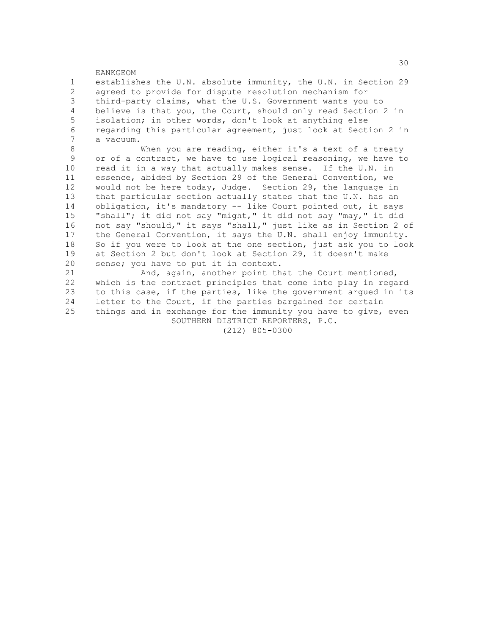1 establishes the U.N. absolute immunity, the U.N. in Section 29 2 agreed to provide for dispute resolution mechanism for<br>3 third-party claims, what the U.S. Government wants you third-party claims, what the U.S. Government wants you to 4 believe is that you, the Court, should only read Section 2 in 5 isolation; in other words, don't look at anything else 6 regarding this particular agreement, just look at Section 2 in<br> $\frac{7}{100}$  a vacuum a vacuum.

8 When you are reading, either it's a text of a treaty<br>9 or of a contract, we have to use logical reasoning, we have to or of a contract, we have to use logical reasoning, we have to 10 read it in a way that actually makes sense. If the U.N. in 11 essence, abided by Section 29 of the General Convention, we 12 would not be here today, Judge. Section 29, the language in 13 that particular section actually states that the U.N. has an 14 obligation, it's mandatory -- like Court pointed out, it says 15 "shall"; it did not say "might," it did not say "may," it did 16 not say "should," it says "shall," just like as in Section 2 of 17 the General Convention, it says the U.N. shall enjoy immunity. 18 So if you were to look at the one section, just ask you to look 19 at Section 2 but don't look at Section 29, it doesn't make 20 sense; you have to put it in context.

21 And, again, another point that the Court mentioned, 22 which is the contract principles that come into play in regard 23 to this case, if the parties, like the government argued in its 24 letter to the Court, if the parties bargained for certain 25 things and in exchange for the immunity you have to give, even SOUTHERN DISTRICT REPORTERS, P.C.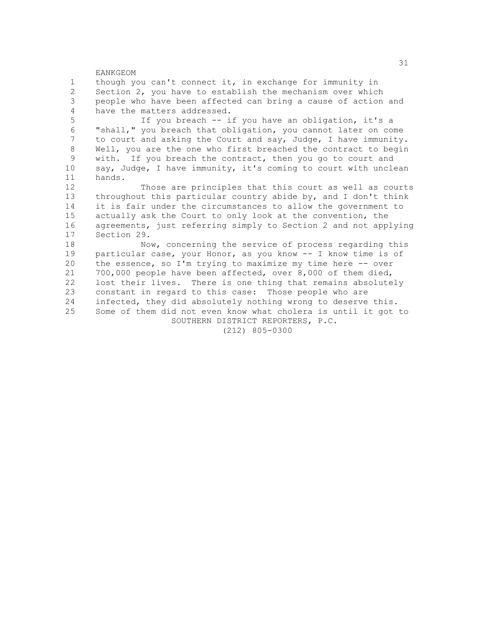EANKGEOM 1 though you can't connect it, in exchange for immunity in 2 Section 2, you have to establish the mechanism over which<br>3 people who have been affected can bring a cause of action people who have been affected can bring a cause of action and 4 have the matters addressed. 5 If you breach -- if you have an obligation, it's a 6 "shall," you breach that obligation, you cannot later on come<br>7 to court and asking the Court and say. Judge, I have immunity to court and asking the Court and say, Judge, I have immunity. 8 Well, you are the one who first breached the contract to begin<br>9 with. If you breach the contract, then you go to court and with. If you breach the contract, then you go to court and 10 say, Judge, I have immunity, it's coming to court with unclean 11 hands. 12 Those are principles that this court as well as courts 13 throughout this particular country abide by, and I don't think 14 it is fair under the circumstances to allow the government to 15 actually ask the Court to only look at the convention, the 16 agreements, just referring simply to Section 2 and not applying<br>17 Section 29. Section 29. 18 Now, concerning the service of process regarding this 19 particular case, your Honor, as you know -- I know time is of 20 the essence, so I'm trying to maximize my time here -- over 21 700,000 people have been affected, over 8,000 of them died, 22 lost their lives. There is one thing that remains absolutely<br>23 constant in regard to this case: Those people who are constant in regard to this case: Those people who are 24 infected, they did absolutely nothing wrong to deserve this. 25 Some of them did not even know what cholera is until it got to SOUTHERN DISTRICT REPORTERS, P.C.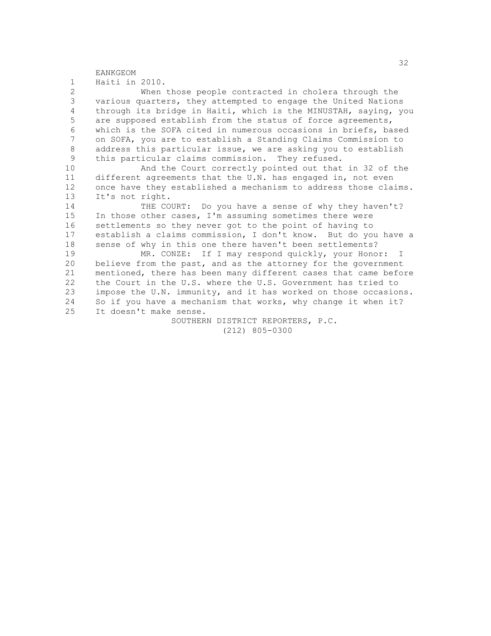1 Haiti in 2010.

2 When those people contracted in cholera through the<br>3 various quarters, they attempted to engage the United Nation various quarters, they attempted to engage the United Nations 4 through its bridge in Haiti, which is the MINUSTAH, saying, you 5 are supposed establish from the status of force agreements, 6 which is the SOFA cited in numerous occasions in briefs, based<br>7 00 SOFA, you are to establish a Standing Claims Commission to 7 on SOFA, you are to establish a Standing Claims Commission to 8 address this particular issue, we are asking you to establish<br>9 this particular claims commission They refused this particular claims commission. They refused.

10 And the Court correctly pointed out that in 32 of the 11 different agreements that the U.N. has engaged in, not even 12 once have they established a mechanism to address those claims. 13 It's not right.

14 THE COURT: Do you have a sense of why they haven't? 15 In those other cases, I'm assuming sometimes there were 16 settlements so they never got to the point of having to 17 establish a claims commission, I don't know. But do you have a 18 sense of why in this one there haven't been settlements?

19 MR. CONZE: If I may respond quickly, your Honor: I 20 believe from the past, and as the attorney for the government 21 mentioned, there has been many different cases that came before 22 the Court in the U.S. where the U.S. Government has tried to<br>23 impose the U.N. immunity, and it has worked on those occasion impose the U.N. immunity, and it has worked on those occasions. 24 So if you have a mechanism that works, why change it when it? 25 It doesn't make sense.

> SOUTHERN DISTRICT REPORTERS, P.C. (212) 805-0300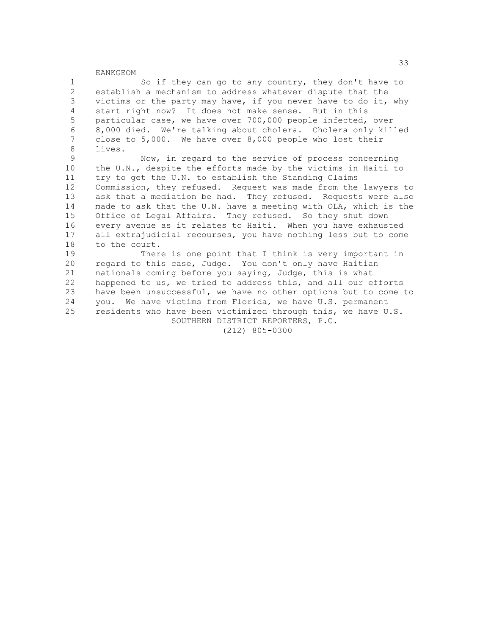1 So if they can go to any country, they don't have to 2 establish a mechanism to address whatever dispute that the<br>3 yictims or the party may have, if you never have to do it, victims or the party may have, if you never have to do it, why 4 start right now? It does not make sense. But in this 5 particular case, we have over 700,000 people infected, over 6 8,000 died. We're talking about cholera. Cholera only killed<br>7 close to 5.000 We have over 8.000 people who lost their close to  $5,000$ . We have over  $8,000$  people who lost their 8 lives.<br>9

Now, in regard to the service of process concerning 10 the U.N., despite the efforts made by the victims in Haiti to 11 try to get the U.N. to establish the Standing Claims 12 Commission, they refused. Request was made from the lawyers to 13 ask that a mediation be had. They refused. Requests were also 14 made to ask that the U.N. have a meeting with OLA, which is the 15 Office of Legal Affairs. They refused. So they shut down 16 every avenue as it relates to Haiti. When you have exhausted 17 all extrajudicial recourses, you have nothing less but to come 18 to the court.

19 There is one point that I think is very important in 20 regard to this case, Judge. You don't only have Haitian 21 nationals coming before you saying, Judge, this is what 22 happened to us, we tried to address this, and all our efforts<br>23 have been unsuccessful, we have no other options but to come have been unsuccessful, we have no other options but to come to 24 you. We have victims from Florida, we have U.S. permanent 25 residents who have been victimized through this, we have U.S. SOUTHERN DISTRICT REPORTERS, P.C.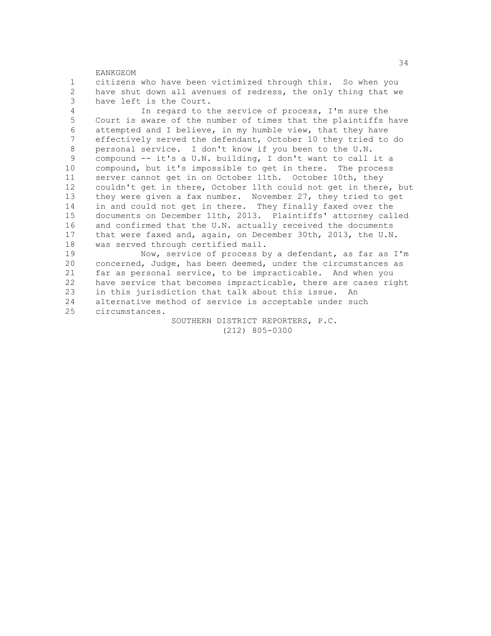|                 | 34                                                              |
|-----------------|-----------------------------------------------------------------|
|                 | EANKGEOM                                                        |
| $\mathbf{1}$    | citizens who have been victimized through this. So when you     |
| $\overline{2}$  | have shut down all avenues of redress, the only thing that we   |
| 3               | have left is the Court.                                         |
| $\overline{4}$  | In regard to the service of process, I'm sure the               |
| 5               | Court is aware of the number of times that the plaintiffs have  |
| 6               | attempted and I believe, in my humble view, that they have      |
| 7               | effectively served the defendant, October 10 they tried to do   |
| 8               | personal service. I don't know if you been to the U.N.          |
| 9               | compound -- it's a U.N. building, I don't want to call it a     |
| 10              | compound, but it's impossible to get in there. The process      |
| 11              | server cannot get in on October 11th. October 10th, they        |
| 12 <sup>°</sup> | couldn't get in there, October 11th could not get in there, but |
| 13              | they were given a fax number. November 27, they tried to get    |
| 14              | in and could not get in there. They finally faxed over the      |
| 15              | documents on December 11th, 2013. Plaintiffs' attorney called   |
| 16              | and confirmed that the U.N. actually received the documents     |
| 17              | that were faxed and, again, on December 30th, 2013, the U.N.    |
| 18              | was served through certified mail.                              |
| 19              | Now, service of process by a defendant, as far as I'm           |
| 20              | concerned, Judge, has been deemed, under the circumstances as   |
| 21              | far as personal service, to be impracticable. And when you      |
| 22              | have service that becomes impracticable, there are cases right  |
| 23              | in this jurisdiction that talk about this issue. An             |
| 24              | alternative method of service is acceptable under such          |
| 25              | circumstances.                                                  |

 SOUTHERN DISTRICT REPORTERS, P.C. (212) 805-0300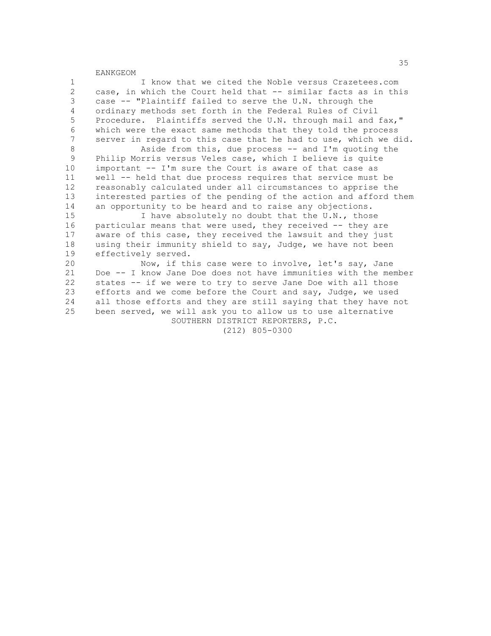1 I know that we cited the Noble versus Crazetees.com 2 case, in which the Court held that -- similar facts as in this<br>3 case -- "Plaintiff failed to serve the U.N. through the case -- "Plaintiff failed to serve the U.N. through the 4 ordinary methods set forth in the Federal Rules of Civil 5 Procedure. Plaintiffs served the U.N. through mail and fax," 6 which were the exact same methods that they told the process<br>7 server in regard to this case that he had to use, which we di server in regard to this case that he had to use, which we did. 8 Aside from this, due process -- and I'm quoting the<br>9 Philip Morris versus Veles case, which I believe is quite

 9 Philip Morris versus Veles case, which I believe is quite 10 important -- I'm sure the Court is aware of that case as 11 well -- held that due process requires that service must be 12 reasonably calculated under all circumstances to apprise the 13 interested parties of the pending of the action and afford them 14 an opportunity to be heard and to raise any objections.

15 I have absolutely no doubt that the U.N., those 16 particular means that were used, they received -- they are 17 aware of this case, they received the lawsuit and they just 18 using their immunity shield to say, Judge, we have not been 19 effectively served.

20 Now, if this case were to involve, let's say, Jane 21 Doe -- I know Jane Doe does not have immunities with the member 22 states -- if we were to try to serve Jane Doe with all those<br>23 efforts and we come before the Court and sav, Judge, we used efforts and we come before the Court and say, Judge, we used 24 all those efforts and they are still saying that they have not 25 been served, we will ask you to allow us to use alternative SOUTHERN DISTRICT REPORTERS, P.C.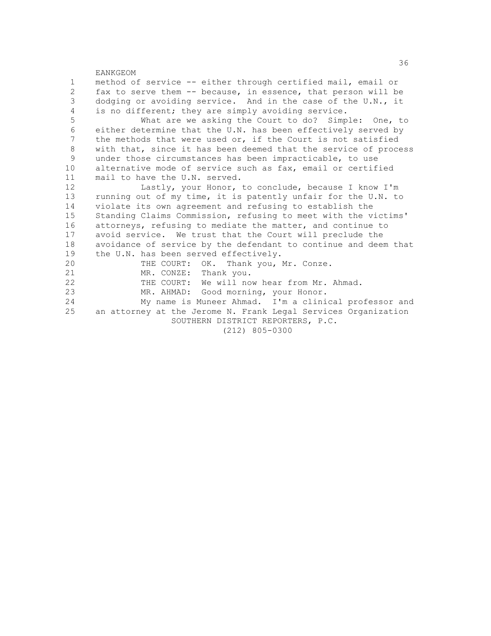EANKGEOM 1 method of service -- either through certified mail, email or 2 fax to serve them -- because, in essence, that person will be<br>3 dodging or avoiding service. And in the case of the U.N., it dodging or avoiding service. And in the case of the U.N., it 4 is no different; they are simply avoiding service. 5 What are we asking the Court to do? Simple: One, to 6 either determine that the U.N. has been effectively served by<br>7 the methods that were used or, if the Court is not satisfied the methods that were used or, if the Court is not satisfied 8 with that, since it has been deemed that the service of process<br>9 under those circumstances has been impracticable, to use under those circumstances has been impracticable, to use 10 alternative mode of service such as fax, email or certified 11 mail to have the U.N. served. 12 Lastly, your Honor, to conclude, because I know I'm 13 running out of my time, it is patently unfair for the U.N. to 14 violate its own agreement and refusing to establish the 15 Standing Claims Commission, refusing to meet with the victims' 16 attorneys, refusing to mediate the matter, and continue to 17 avoid service. We trust that the Court will preclude the 18 avoidance of service by the defendant to continue and deem that 19 the U.N. has been served effectively. 20 THE COURT: OK. Thank you, Mr. Conze. 21 MR. CONZE: Thank you. 22 THE COURT: We will now hear from Mr. Ahmad.<br>23 MR. AHMAD: Good morning, your Honor. MR. AHMAD: Good morning, your Honor. 24 My name is Muneer Ahmad. I'm a clinical professor and 25 an attorney at the Jerome N. Frank Legal Services Organization SOUTHERN DISTRICT REPORTERS, P.C. (212) 805-0300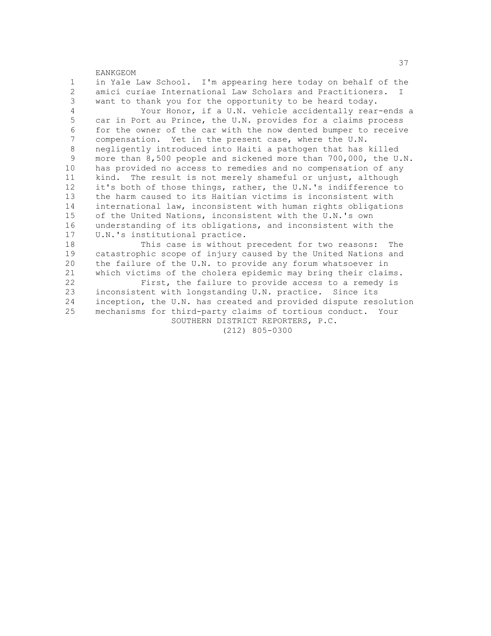EANKGEOM 1 in Yale Law School. I'm appearing here today on behalf of the 2 amici curiae International Law Scholars and Practitioners. I<br>3 want to thank you for the opportunity to be heard today. want to thank you for the opportunity to be heard today. 4 Your Honor, if a U.N. vehicle accidentally rear-ends a 5 car in Port au Prince, the U.N. provides for a claims process 6 for the owner of the car with the now dented bumper to receive<br>7 compensation event in the present case, where the U.N. compensation. Yet in the present case, where the U.N. 8 negligently introduced into Haiti a pathogen that has killed<br>9 more than 8.500 people and sickened more than 700,000, the U more than 8,500 people and sickened more than 700,000, the U.N. 10 has provided no access to remedies and no compensation of any 11 kind. The result is not merely shameful or unjust, although 12 it's both of those things, rather, the U.N.'s indifference to 13 the harm caused to its Haitian victims is inconsistent with 14 international law, inconsistent with human rights obligations 15 of the United Nations, inconsistent with the U.N.'s own 16 understanding of its obligations, and inconsistent with the 17 U.N.'s institutional practice. 18 This case is without precedent for two reasons: The 19 catastrophic scope of injury caused by the United Nations and 20 the failure of the U.N. to provide any forum whatsoever in 21 which victims of the cholera epidemic may bring their claims. 22 First, the failure to provide access to a remedy is<br>23 inconsistent with longstanding U.N. practice. Since its inconsistent with longstanding U.N. practice. Since its 24 inception, the U.N. has created and provided dispute resolution 25 mechanisms for third-party claims of tortious conduct. Your SOUTHERN DISTRICT REPORTERS, P.C.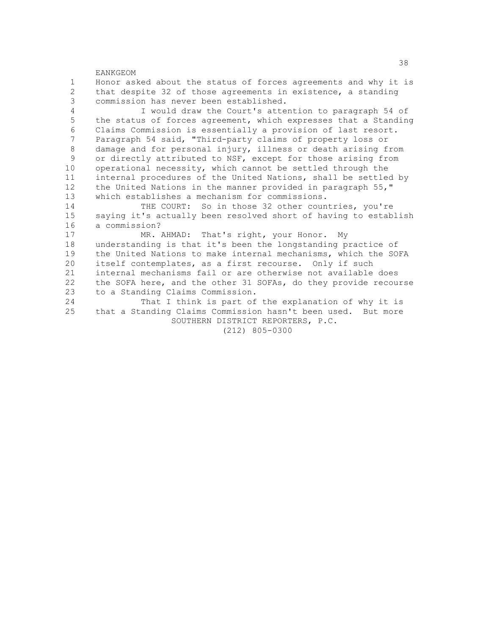EANKGEOM 1 Honor asked about the status of forces agreements and why it is 2 that despite 32 of those agreements in existence, a standing<br>3 commission has never been established. commission has never been established. 4 I would draw the Court's attention to paragraph 54 of 5 the status of forces agreement, which expresses that a Standing 6 Claims Commission is essentially a provision of last resort.<br>7 Paragraph 54 said. "Third-party claims of property loss or Paragraph 54 said, "Third-party claims of property loss or 8 damage and for personal injury, illness or death arising from<br>9 or directly attributed to NSF, except for those arising from or directly attributed to NSF, except for those arising from 10 operational necessity, which cannot be settled through the 11 internal procedures of the United Nations, shall be settled by 12 the United Nations in the manner provided in paragraph 55," 13 which establishes a mechanism for commissions. 14 THE COURT: So in those 32 other countries, you're 15 saying it's actually been resolved short of having to establish 16 a commission?<br>17 MR. MR. AHMAD: That's right, your Honor. My 18 understanding is that it's been the longstanding practice of 19 the United Nations to make internal mechanisms, which the SOFA 20 itself contemplates, as a first recourse. Only if such 21 internal mechanisms fail or are otherwise not available does 22 the SOFA here, and the other 31 SOFAs, do they provide recourse<br>23 to a Standing Claims Commission. to a Standing Claims Commission. 24 That I think is part of the explanation of why it is 25 that a Standing Claims Commission hasn't been used. But more SOUTHERN DISTRICT REPORTERS, P.C. (212) 805-0300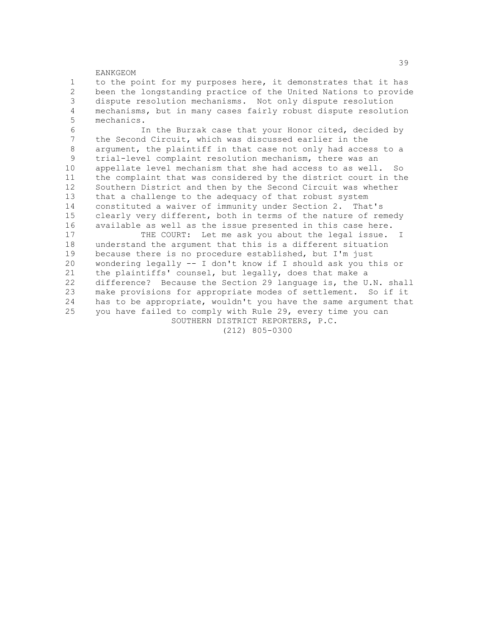1 to the point for my purposes here, it demonstrates that it has 2 been the longstanding practice of the United Nations to provide<br>3 dispute resolution mechanisms. Not only dispute resolution dispute resolution mechanisms. Not only dispute resolution 4 mechanisms, but in many cases fairly robust dispute resolution 5 mechanics. 6 In the Burzak case that your Honor cited, decided by the Second Circuit, which was discussed earlier in the 8 argument, the plaintiff in that case not only had access to a<br>9 trial-level complaint resolution mechanism, there was an trial-level complaint resolution mechanism, there was an 10 appellate level mechanism that she had access to as well. So 11 the complaint that was considered by the district court in the 12 Southern District and then by the Second Circuit was whether 13 that a challenge to the adequacy of that robust system 14 constituted a waiver of immunity under Section 2. That's 15 clearly very different, both in terms of the nature of remedy 16 available as well as the issue presented in this case here.<br>17 THE COURT: Let me ask you about the legal issue. THE COURT: Let me ask you about the legal issue. I 18 understand the argument that this is a different situation 19 because there is no procedure established, but I'm just 20 wondering legally -- I don't know if I should ask you this or 21 the plaintiffs' counsel, but legally, does that make a 22 difference? Because the Section 29 language is, the U.N. shall<br>23 make provisions for appropriate modes of settlement. So if it make provisions for appropriate modes of settlement. So if it 24 has to be appropriate, wouldn't you have the same argument that 25 you have failed to comply with Rule 29, every time you can SOUTHERN DISTRICT REPORTERS, P.C.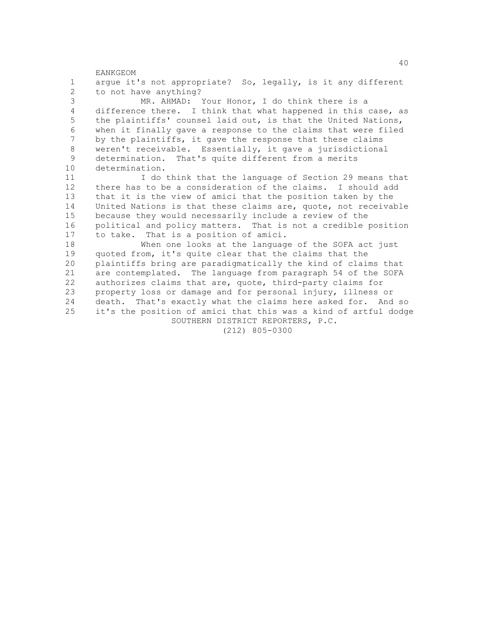EANKGEOM 1 argue it's not appropriate? So, legally, is it any different 2 to not have anything?<br>3 MR. AHMAD: MR. AHMAD: Your Honor, I do think there is a 4 difference there. I think that what happened in this case, as 5 the plaintiffs' counsel laid out, is that the United Nations, 6 when it finally gave a response to the claims that were filed<br>7 by the plaintiffs, it gave the response that these claims by the plaintiffs, it gave the response that these claims 8 weren't receivable. Essentially, it gave a jurisdictional<br>9 determination That's quite different from a merits determination. That's quite different from a merits 10 determination. 11 I do think that the language of Section 29 means that 12 there has to be a consideration of the claims. I should add 13 that it is the view of amici that the position taken by the 14 United Nations is that these claims are, quote, not receivable 15 because they would necessarily include a review of the 16 political and policy matters. That is not a credible position 17 to take. That is a position of amici. 18 When one looks at the language of the SOFA act just 19 quoted from, it's quite clear that the claims that the 20 plaintiffs bring are paradigmatically the kind of claims that 21 are contemplated. The language from paragraph 54 of the SOFA 22 authorizes claims that are, quote, third-party claims for<br>23 oroperty loss or damage and for personal injury, illness property loss or damage and for personal injury, illness or 24 death. That's exactly what the claims here asked for. And so 25 it's the position of amici that this was a kind of artful dodge SOUTHERN DISTRICT REPORTERS, P.C. (212) 805-0300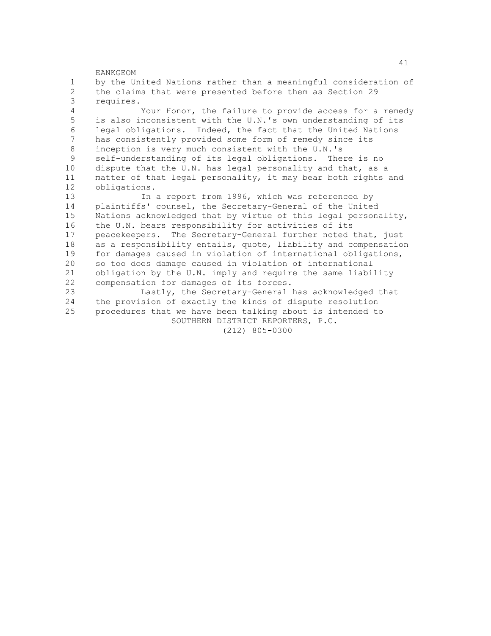EANKGEOM 1 by the United Nations rather than a meaningful consideration of 2 the claims that were presented before them as Section 29 requires. requires. 4 Your Honor, the failure to provide access for a remedy 5 is also inconsistent with the U.N.'s own understanding of its 6 legal obligations. Indeed, the fact that the United Nations<br>7 has consistently provided some form of remedy since its has consistently provided some form of remedy since its 8 inception is very much consistent with the U.N.'s<br>9 self-understanding of its legal obligations The self-understanding of its legal obligations. There is no 10 dispute that the U.N. has legal personality and that, as a 11 matter of that legal personality, it may bear both rights and 12 obligations. 13 In a report from 1996, which was referenced by 14 plaintiffs' counsel, the Secretary-General of the United 15 Nations acknowledged that by virtue of this legal personality, 16 the U.N. bears responsibility for activities of its 17 peacekeepers. The Secretary-General further noted that, just 18 as a responsibility entails, quote, liability and compensation 19 for damages caused in violation of international obligations, 20 so too does damage caused in violation of international 21 obligation by the U.N. imply and require the same liability 22 compensation for damages of its forces.<br>23 Lastly, the Secretary-General l Lastly, the Secretary-General has acknowledged that 24 the provision of exactly the kinds of dispute resolution 25 procedures that we have been talking about is intended to SOUTHERN DISTRICT REPORTERS, P.C. (212) 805-0300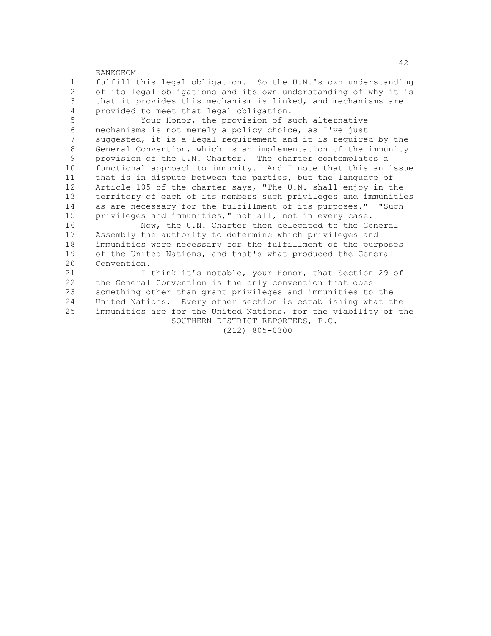1 fulfill this legal obligation. So the U.N.'s own understanding 2 of its legal obligations and its own understanding of why it is<br>3 that it provides this mechanism is linked, and mechanisms are that it provides this mechanism is linked, and mechanisms are 4 provided to meet that legal obligation.

 5 Your Honor, the provision of such alternative 6 mechanisms is not merely a policy choice, as I've just<br>7 suggested, it is a legal requirement and it is require suggested, it is a legal requirement and it is required by the 8 General Convention, which is an implementation of the immunity<br>9 provision of the U.N. Charter The charter contemplates a provision of the U.N. Charter. The charter contemplates a 10 functional approach to immunity. And I note that this an issue 11 that is in dispute between the parties, but the language of 12 Article 105 of the charter says, "The U.N. shall enjoy in the 13 territory of each of its members such privileges and immunities 14 as are necessary for the fulfillment of its purposes." "Such 15 privileges and immunities," not all, not in every case.<br>16 Now, the U.N. Charter then delegated to the Ge

16 Mow, the U.N. Charter then delegated to the General<br>17 Assembly the authority to determine which privileges and Assembly the authority to determine which privileges and 18 immunities were necessary for the fulfillment of the purposes 19 of the United Nations, and that's what produced the General 20 Convention.

21 I think it's notable, your Honor, that Section 29 of 22 the General Convention is the only convention that does<br>23 something other than grant privileges and immunities to something other than grant privileges and immunities to the 24 United Nations. Every other section is establishing what the 25 immunities are for the United Nations, for the viability of the SOUTHERN DISTRICT REPORTERS, P.C.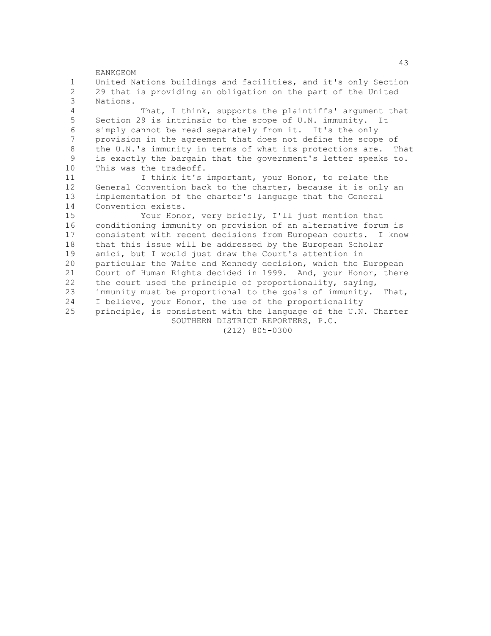EANKGEOM 1 United Nations buildings and facilities, and it's only Section 2 29 that is providing an obligation on the part of the United Nations. 4 That, I think, supports the plaintiffs' argument that 5 Section 29 is intrinsic to the scope of U.N. immunity. It 6 simply cannot be read separately from it. It's the only provision in the agreement that does not define the scope of 8 the U.N.'s immunity in terms of what its protections are. That<br>9 is exactly the bargain that the government's letter speaks to is exactly the bargain that the government's letter speaks to. 10 This was the tradeoff. 11 I think it's important, your Honor, to relate the 12 General Convention back to the charter, because it is only an 13 implementation of the charter's language that the General 14 Convention exists. 15 Your Honor, very briefly, I'll just mention that<br>16 conditioning immunity on provision of an alternative forum 16 conditioning immunity on provision of an alternative forum is<br>17 consistent with recent decisions from European courts. I know consistent with recent decisions from European courts. I know 18 that this issue will be addressed by the European Scholar 19 amici, but I would just draw the Court's attention in 20 particular the Waite and Kennedy decision, which the European 21 Court of Human Rights decided in 1999. And, your Honor, there 22 the court used the principle of proportionality, saying,<br>23 immunity must be proportional to the goals of immunity. immunity must be proportional to the goals of immunity. That, 24 I believe, your Honor, the use of the proportionality 25 principle, is consistent with the language of the U.N. Charter SOUTHERN DISTRICT REPORTERS, P.C. (212) 805-0300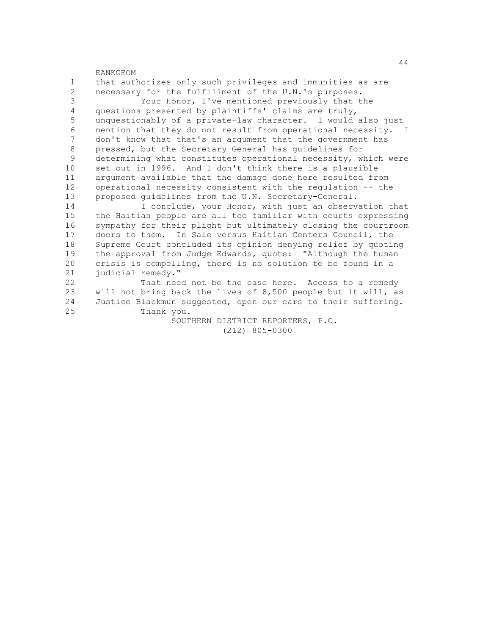EANKGEOM 1 that authorizes only such privileges and immunities as are 2 necessary for the fulfillment of the U.N.'s purposes.<br>3 Your Honor, I've mentioned previously that t Your Honor, I've mentioned previously that the 4 questions presented by plaintiffs' claims are truly, 5 unquestionably of a private-law character. I would also just 6 mention that they do not result from operational necessity. I<br>7 don't know that that's an argument that the government has don't know that that's an argument that the government has 8 pressed, but the Secretary-General has guidelines for<br>9 determining what constitutes operational necessity, w determining what constitutes operational necessity, which were 10 set out in 1996. And I don't think there is a plausible 11 argument available that the damage done here resulted from 12 operational necessity consistent with the regulation -- the 13 proposed guidelines from the U.N. Secretary-General. 14 I conclude, your Honor, with just an observation that 15 the Haitian people are all too familiar with courts expressing<br>16 sympathy for their plight but ultimately closing the courtroom sympathy for their plight but ultimately closing the courtroom 17 doors to them. In Sale versus Haitian Centers Council, the 18 Supreme Court concluded its opinion denying relief by quoting 19 the approval from Judge Edwards, quote: "Although the human 20 crisis is compelling, there is no solution to be found in a 21 judicial remedy." 22 That need not be the case here. Access to a remedy<br>23 will not bring back the lives of 8,500 people but it will, as will not bring back the lives of 8,500 people but it will, as 24 Justice Blackmun suggested, open our ears to their suffering. 25 Thank you. SOUTHERN DISTRICT REPORTERS, P.C.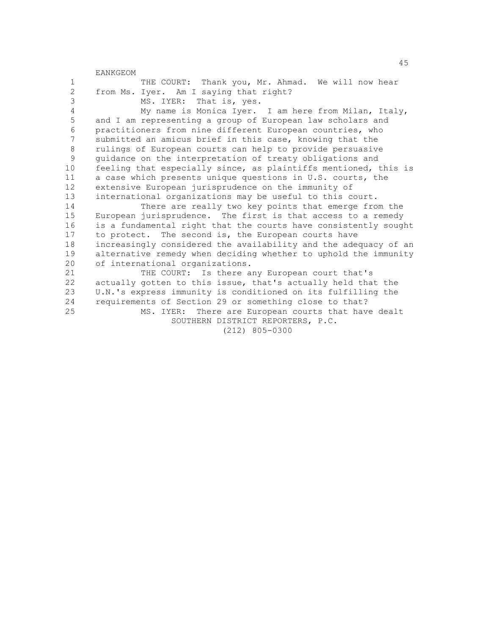45 EANKGEOM 1 THE COURT: Thank you, Mr. Ahmad. We will now hear 2 from Ms. Iyer. Am I saying that right?<br>3 MS. IYER: That is, ves. MS. IYER: That is, yes. 4 My name is Monica Iyer. I am here from Milan, Italy, 5 and I am representing a group of European law scholars and 6 practitioners from nine different European countries, who<br>7 submitted an amicus brief in this case, knowing that the submitted an amicus brief in this case, knowing that the 8 rulings of European courts can help to provide persuasive<br>9 anidance on the interpretation of treaty obligations and 9 guidance on the interpretation of treaty obligations and 10 feeling that especially since, as plaintiffs mentioned, this is 11 a case which presents unique questions in U.S. courts, the 12 extensive European jurisprudence on the immunity of 13 international organizations may be useful to this court. 14 There are really two key points that emerge from the 15 European jurisprudence. The first is that access to a remedy 16 is a fundamental right that the courts have consistently sought 17 to protect. The second is, the European courts have 18 increasingly considered the availability and the adequacy of an 19 alternative remedy when deciding whether to uphold the immunity 20 of international organizations. 21 THE COURT: Is there any European court that's 22 actually gotten to this issue, that's actually held that the<br>23 U.N.'s express immunity is conditioned on its fulfilling the U.N.'s express immunity is conditioned on its fulfilling the 24 requirements of Section 29 or something close to that? 25 MS. IYER: There are European courts that have dealt SOUTHERN DISTRICT REPORTERS, P.C. (212) 805-0300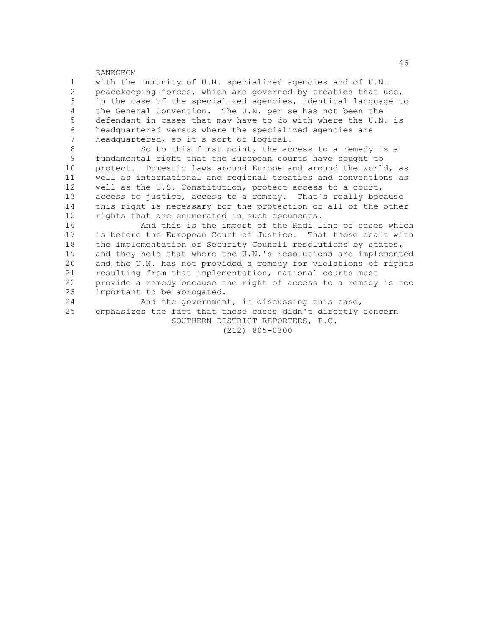1 with the immunity of U.N. specialized agencies and of U.N. 2 peacekeeping forces, which are governed by treaties that use,<br>3 in the case of the specialized agencies, identical language t in the case of the specialized agencies, identical language to 4 the General Convention. The U.N. per se has not been the 5 defendant in cases that may have to do with where the U.N. is 6 headquartered versus where the specialized agencies are<br>7 headquartered, so it's sort of logical headquartered, so it's sort of logical.

8 So to this first point, the access to a remedy is a<br>9 fundamental right that the European courts have sought to fundamental right that the European courts have sought to 10 protect. Domestic laws around Europe and around the world, as 11 well as international and regional treaties and conventions as 12 well as the U.S. Constitution, protect access to a court, 13 access to justice, access to a remedy. That's really because 14 this right is necessary for the protection of all of the other 15 rights that are enumerated in such documents.<br>16 and this is the import of the Kadi 1

16 And this is the import of the Kadi line of cases which<br>17 is before the European Court of Justice. That those dealt with is before the European Court of Justice. That those dealt with 18 the implementation of Security Council resolutions by states, 19 and they held that where the U.N.'s resolutions are implemented 20 and the U.N. has not provided a remedy for violations of rights 21 resulting from that implementation, national courts must 22 provide a remedy because the right of access to a remedy is too<br>23 important to be abrogated. important to be abrogated.

24 And the government, in discussing this case, 25 emphasizes the fact that these cases didn't directly concern SOUTHERN DISTRICT REPORTERS, P.C.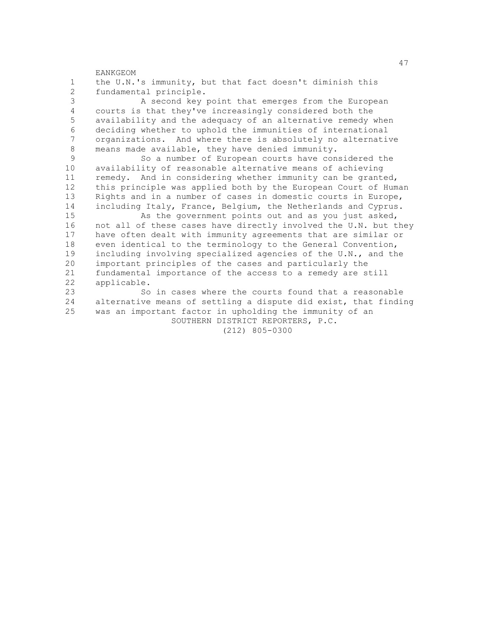47 EANKGEOM 1 the U.N.'s immunity, but that fact doesn't diminish this 2 fundamental principle.<br>3 A second kev A second key point that emerges from the European 4 courts is that they've increasingly considered both the 5 availability and the adequacy of an alternative remedy when 6 deciding whether to uphold the immunities of international<br>7 organizations And where there is absolutely no alternative organizations. And where there is absolutely no alternative 8 means made available, they have denied immunity.<br>9 So a number of European courts have con So a number of European courts have considered the 10 availability of reasonable alternative means of achieving 11 remedy. And in considering whether immunity can be granted, 12 this principle was applied both by the European Court of Human 13 Rights and in a number of cases in domestic courts in Europe, 14 including Italy, France, Belgium, the Netherlands and Cyprus. 15 As the government points out and as you just asked,<br>16 not all of these cases have directly involved the U.N. but t not all of these cases have directly involved the U.N. but they 17 have often dealt with immunity agreements that are similar or 18 even identical to the terminology to the General Convention, 19 including involving specialized agencies of the U.N., and the 20 important principles of the cases and particularly the 21 fundamental importance of the access to a remedy are still 22 applicable.<br>23 So So in cases where the courts found that a reasonable 24 alternative means of settling a dispute did exist, that finding 25 was an important factor in upholding the immunity of an SOUTHERN DISTRICT REPORTERS, P.C. (212) 805-0300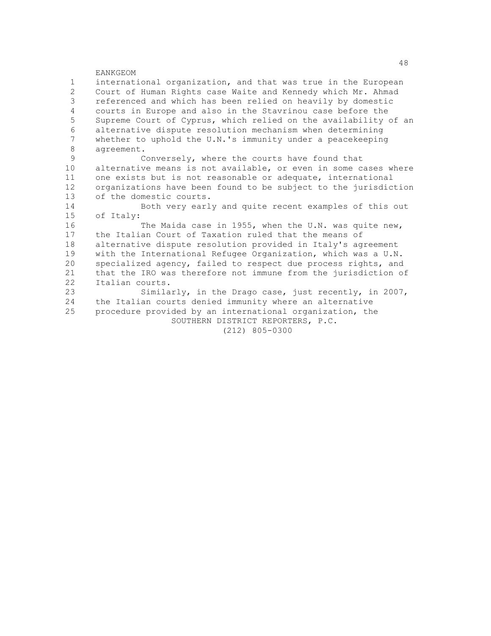1 international organization, and that was true in the European 2 Court of Human Rights case Waite and Kennedy which Mr. Ahmad<br>3 Feferenced and which has been relied on heavily by domestic referenced and which has been relied on heavily by domestic 4 courts in Europe and also in the Stavrinou case before the 5 Supreme Court of Cyprus, which relied on the availability of an 6 alternative dispute resolution mechanism when determining<br>7 whether to uphold the U.N.'s immunity under a peacekeeping whether to uphold the U.N.'s immunity under a peacekeeping 8 agreement.

Conversely, where the courts have found that 10 alternative means is not available, or even in some cases where 11 one exists but is not reasonable or adequate, international 12 organizations have been found to be subject to the jurisdiction 13 of the domestic courts.

14 Both very early and quite recent examples of this out 15 of Italy:

16 The Maida case in 1955, when the U.N. was quite new,<br>17 the Italian Court of Taxation ruled that the means of the Italian Court of Taxation ruled that the means of 18 alternative dispute resolution provided in Italy's agreement 19 with the International Refugee Organization, which was a U.N. 20 specialized agency, failed to respect due process rights, and 21 that the IRO was therefore not immune from the jurisdiction of 22 Italian courts.<br>23 Simila

Similarly, in the Drago case, just recently, in 2007, 24 the Italian courts denied immunity where an alternative 25 procedure provided by an international organization, the SOUTHERN DISTRICT REPORTERS, P.C.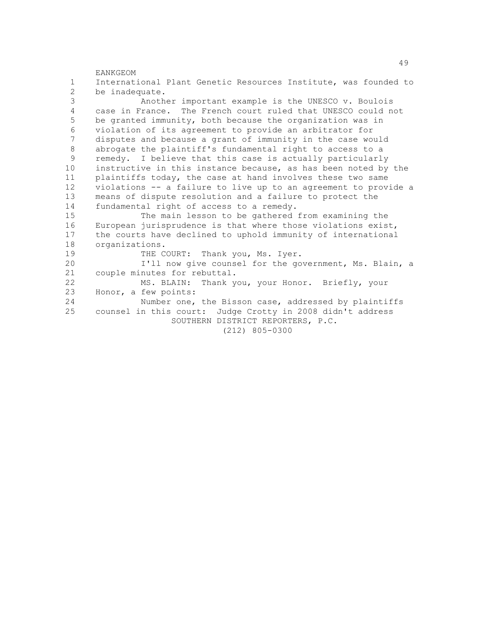EANKGEOM 1 International Plant Genetic Resources Institute, was founded to 2 be inadequate.<br>3 Anoth Another important example is the UNESCO v. Boulois 4 case in France. The French court ruled that UNESCO could not 5 be granted immunity, both because the organization was in 6 violation of its agreement to provide an arbitrator for disputes and because a grant of immunity in the case would 8 abrogate the plaintiff's fundamental right to access to a<br>9 remedy. I believe that this case is actually particularly remedy. I believe that this case is actually particularly 10 instructive in this instance because, as has been noted by the 11 plaintiffs today, the case at hand involves these two same 12 violations -- a failure to live up to an agreement to provide a 13 means of dispute resolution and a failure to protect the 14 fundamental right of access to a remedy. 15 The main lesson to be gathered from examining the<br>16 European jurisprudence is that where those violations exist 16 European jurisprudence is that where those violations exist,<br>17 the courts have declined to uphold immunity of international the courts have declined to uphold immunity of international 18 organizations. 19 THE COURT: Thank you, Ms. Iyer. 20 I'll now give counsel for the government, Ms. Blain, a 21 couple minutes for rebuttal. 22 MS. BLAIN: Thank you, your Honor. Briefly, your 23 Honor, a few points: Honor, a few points: 24 Number one, the Bisson case, addressed by plaintiffs 25 counsel in this court: Judge Crotty in 2008 didn't address SOUTHERN DISTRICT REPORTERS, P.C. (212) 805-0300

49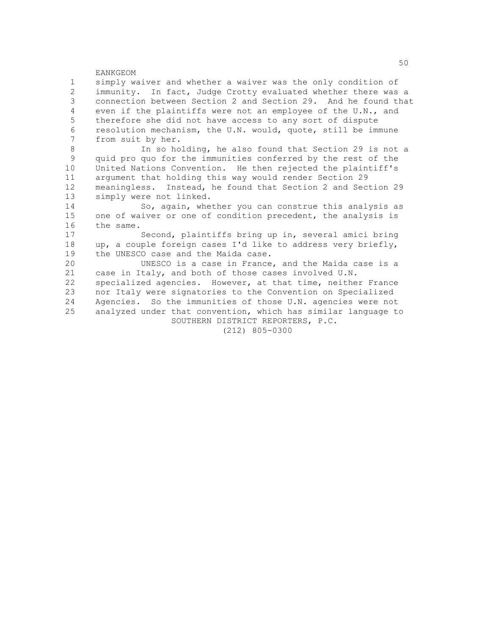1 simply waiver and whether a waiver was the only condition of 2 immunity. In fact, Judge Crotty evaluated whether there was a<br>3 connection between Section 2 and Section 29. And he found that connection between Section 2 and Section 29. And he found that 4 even if the plaintiffs were not an employee of the U.N., and 5 therefore she did not have access to any sort of dispute 6 resolution mechanism, the U.N. would, quote, still be immune<br>7 from suit by her from suit by her.

8 In so holding, he also found that Section 29 is not a<br>9 quid pro quo for the immunities conferred by the rest of the quid pro quo for the immunities conferred by the rest of the 10 United Nations Convention. He then rejected the plaintiff's 11 argument that holding this way would render Section 29 12 meaningless. Instead, he found that Section 2 and Section 29 13 simply were not linked.

14 So, again, whether you can construe this analysis as 15 one of waiver or one of condition precedent, the analysis is<br>16 the same. 16 the same.<br>17

Second, plaintiffs bring up in, several amici bring 18 up, a couple foreign cases I'd like to address very briefly, 19 the UNESCO case and the Maida case.

20 UNESCO is a case in France, and the Maida case is a 21 case in Italy, and both of those cases involved U.N. 22 specialized agencies. However, at that time, neither France<br>23 nor Italy were signatories to the Convention on Specialized nor Italy were signatories to the Convention on Specialized 24 Agencies. So the immunities of those U.N. agencies were not 25 analyzed under that convention, which has similar language to SOUTHERN DISTRICT REPORTERS, P.C.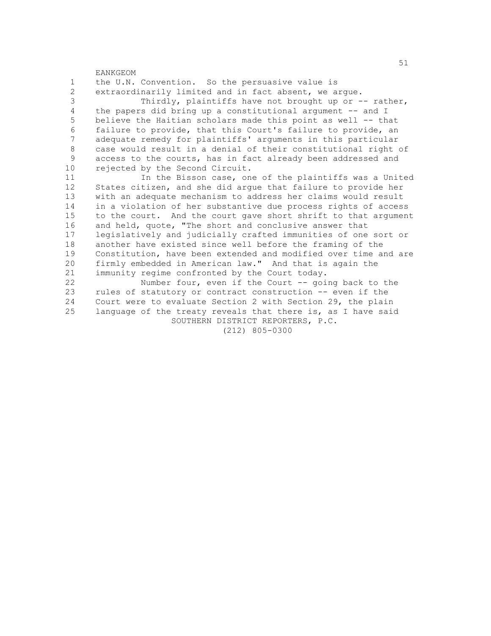EANKGEOM 1 the U.N. Convention. So the persuasive value is 2 extraordinarily limited and in fact absent, we argue.<br>3 Thirdly, plaintiffs have not brought up or Thirdly, plaintiffs have not brought up or  $-$ - rather, 4 the papers did bring up a constitutional argument -- and I 5 believe the Haitian scholars made this point as well -- that 6 failure to provide, that this Court's failure to provide, an adequate remedy for plaintiffs' arguments in this particular 8 case would result in a denial of their constitutional right of<br>9 access to the courts, has in fact already been addressed and access to the courts, has in fact already been addressed and 10 rejected by the Second Circuit. 11 In the Bisson case, one of the plaintiffs was a United 12 States citizen, and she did argue that failure to provide her 13 with an adequate mechanism to address her claims would result 14 in a violation of her substantive due process rights of access 15 to the court. And the court gave short shrift to that argument 16 and held, quote, "The short and conclusive answer that 17 legislatively and judicially crafted immunities of one sort or 18 another have existed since well before the framing of the 19 Constitution, have been extended and modified over time and are 20 firmly embedded in American law." And that is again the 21 immunity regime confronted by the Court today. 22 Number four, even if the Court -- going back to the<br>23 rules of statutory or contract construction -- even if the rules of statutory or contract construction -- even if the 24 Court were to evaluate Section 2 with Section 29, the plain 25 language of the treaty reveals that there is, as I have said SOUTHERN DISTRICT REPORTERS, P.C. (212) 805-0300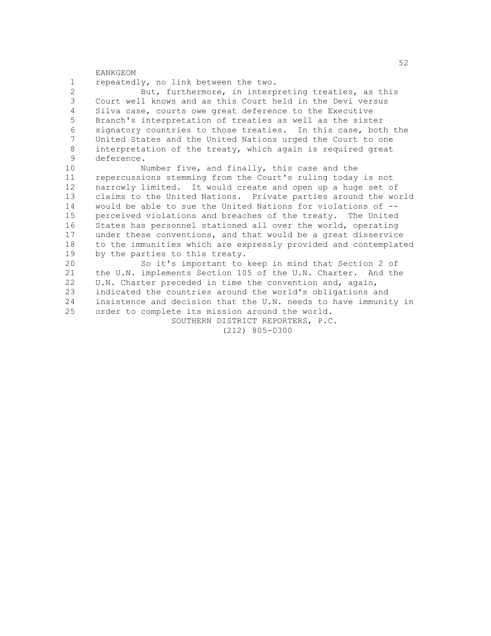1 repeatedly, no link between the two. 2 But, furthermore, in interpreting treaties, as this<br>3 Court well knows and as this Court held in the Devi versus Court well knows and as this Court held in the Devi versus 4 Silva case, courts owe great deference to the Executive 5 Branch's interpretation of treaties as well as the sister 6 signatory countries to those treaties. In this case, both the<br>7 United States and the United Nations urged the Court to one United States and the United Nations urged the Court to one 8 interpretation of the treaty, which again is required great<br>9 deference deference. 10 Number five, and finally, this case and the 11 repercussions stemming from the Court's ruling today is not 12 narrowly limited. It would create and open up a huge set of

13 claims to the United Nations. Private parties around the world 14 would be able to sue the United Nations for violations of -- 15 perceived violations and breaches of the treaty. The United 16 States has personnel stationed all over the world, operating 17 under these conventions, and that would be a great disservice 18 to the immunities which are expressly provided and contemplated 19 by the parties to this treaty.

20 So it's important to keep in mind that Section 2 of 21 the U.N. implements Section 105 of the U.N. Charter. And the 22 U.N. Charter preceded in time the convention and, again,<br>23 indicated the countries around the world's obligations a indicated the countries around the world's obligations and 24 insistence and decision that the U.N. needs to have immunity in 25 order to complete its mission around the world.

> SOUTHERN DISTRICT REPORTERS, P.C. (212) 805-0300